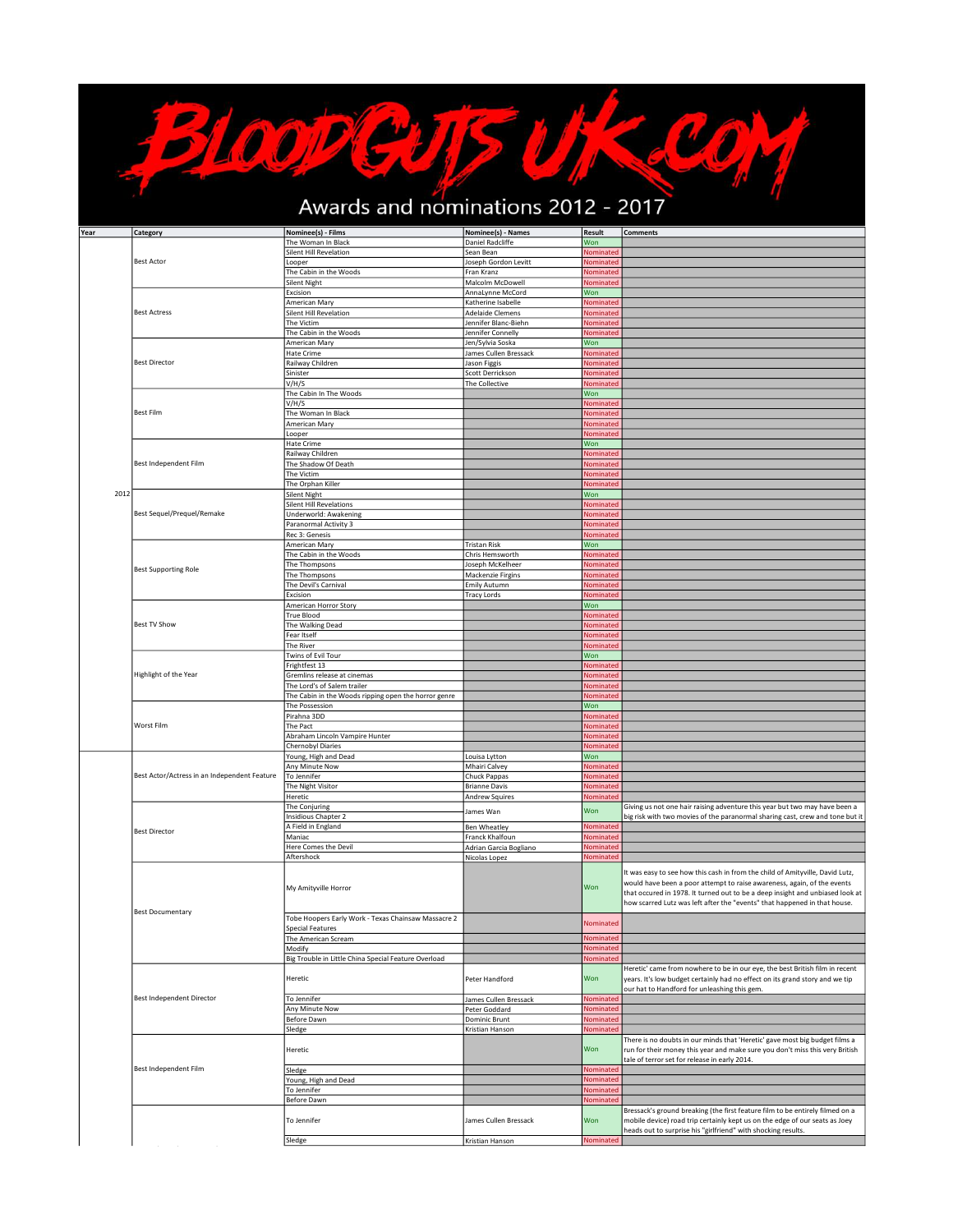## COM Awards and nominations 2012 - 2017

Bloodevils

| Year | Category                                     | Nominee(s) - Films                                   | Nominee(s) - Names                      | <b>Result</b>    | <b>Comments</b>                                                                                                                                                                                                                                                                                                        |
|------|----------------------------------------------|------------------------------------------------------|-----------------------------------------|------------------|------------------------------------------------------------------------------------------------------------------------------------------------------------------------------------------------------------------------------------------------------------------------------------------------------------------------|
|      |                                              | The Woman In Black                                   | Daniel Radcliffe                        | Won              |                                                                                                                                                                                                                                                                                                                        |
|      |                                              | Silent Hill Revelation                               | Sean Bean                               | Nominated        |                                                                                                                                                                                                                                                                                                                        |
|      | <b>Best Actor</b>                            | Looper                                               | Joseph Gordon Levitt                    | Nominated        |                                                                                                                                                                                                                                                                                                                        |
|      |                                              |                                                      |                                         |                  |                                                                                                                                                                                                                                                                                                                        |
|      |                                              | The Cabin in the Woods                               | Fran Kranz                              | Nominated        |                                                                                                                                                                                                                                                                                                                        |
|      |                                              | Silent Night                                         | Malcolm McDowell                        | Nominated        |                                                                                                                                                                                                                                                                                                                        |
|      |                                              | Excision                                             | AnnaLynne McCord                        | Won              |                                                                                                                                                                                                                                                                                                                        |
|      | <b>Best Actress</b>                          | American Mary                                        | Katherine Isabelle                      | Nominated        |                                                                                                                                                                                                                                                                                                                        |
|      |                                              | Silent Hill Revelation                               | <b>Adelaide Clemens</b>                 | Nominated        |                                                                                                                                                                                                                                                                                                                        |
|      |                                              | The Victim                                           | Jennifer Blanc-Biehn                    | Nominated        |                                                                                                                                                                                                                                                                                                                        |
|      |                                              | The Cabin in the Woods                               | Jennifer Connelly                       | Nominated        |                                                                                                                                                                                                                                                                                                                        |
|      |                                              |                                                      |                                         |                  |                                                                                                                                                                                                                                                                                                                        |
|      |                                              | American Mary                                        | Jen/Sylvia Soska                        | Won              |                                                                                                                                                                                                                                                                                                                        |
|      |                                              | Hate Crime                                           | James Cullen Bressack                   | Nominated        |                                                                                                                                                                                                                                                                                                                        |
|      | <b>Best Director</b>                         | Railway Children                                     | Jason Figgis                            | Nominated        |                                                                                                                                                                                                                                                                                                                        |
|      |                                              | Sinister                                             | Scott Derrickson                        | Nominated        |                                                                                                                                                                                                                                                                                                                        |
|      |                                              | V/H/S                                                | The Collective                          | Nominated        |                                                                                                                                                                                                                                                                                                                        |
|      |                                              | The Cabin In The Woods                               |                                         | Won              |                                                                                                                                                                                                                                                                                                                        |
|      |                                              | V/H/S                                                |                                         | Nominated        |                                                                                                                                                                                                                                                                                                                        |
|      | <b>Best Film</b>                             | The Woman In Black                                   |                                         | Nominated        |                                                                                                                                                                                                                                                                                                                        |
|      |                                              | American Mary                                        |                                         | Nominated        |                                                                                                                                                                                                                                                                                                                        |
|      |                                              |                                                      |                                         |                  |                                                                                                                                                                                                                                                                                                                        |
|      |                                              | Looper                                               |                                         | Nominated        |                                                                                                                                                                                                                                                                                                                        |
|      |                                              | Hate Crime                                           |                                         | Won              |                                                                                                                                                                                                                                                                                                                        |
|      |                                              | Railway Children                                     |                                         | Nominated        |                                                                                                                                                                                                                                                                                                                        |
|      | Best Independent Film                        | The Shadow Of Death                                  |                                         | Nominated        |                                                                                                                                                                                                                                                                                                                        |
|      |                                              | The Victim                                           |                                         | Nominated        |                                                                                                                                                                                                                                                                                                                        |
|      |                                              | The Orphan Killer                                    |                                         | Nominated        |                                                                                                                                                                                                                                                                                                                        |
| 2012 |                                              | <b>Silent Night</b>                                  |                                         | Won              |                                                                                                                                                                                                                                                                                                                        |
|      |                                              | <b>Silent Hill Revelations</b>                       |                                         | Nominated        |                                                                                                                                                                                                                                                                                                                        |
|      | Best Sequel/Prequel/Remake                   | Underworld: Awakening                                |                                         | Nominated        |                                                                                                                                                                                                                                                                                                                        |
|      |                                              |                                                      |                                         |                  |                                                                                                                                                                                                                                                                                                                        |
|      |                                              | Paranormal Activity 3                                |                                         | Nominated        |                                                                                                                                                                                                                                                                                                                        |
|      |                                              | Rec 3: Genesis                                       |                                         | Nominated        |                                                                                                                                                                                                                                                                                                                        |
|      |                                              | American Mary                                        | <b>Tristan Risk</b>                     | Won              |                                                                                                                                                                                                                                                                                                                        |
|      |                                              | The Cabin in the Woods                               | Chris Hemsworth                         | Nominated        |                                                                                                                                                                                                                                                                                                                        |
|      |                                              | The Thompsons                                        | Joseph McKelheer                        | Nominated        |                                                                                                                                                                                                                                                                                                                        |
|      | <b>Best Supporting Role</b>                  | The Thompsons                                        | Mackenzie Firgins                       | Nominated        |                                                                                                                                                                                                                                                                                                                        |
|      |                                              | The Devil's Carnival                                 | Emily Autumn                            | Nominated        |                                                                                                                                                                                                                                                                                                                        |
|      |                                              |                                                      |                                         |                  |                                                                                                                                                                                                                                                                                                                        |
|      |                                              | Excision                                             | <b>Tracy Lords</b>                      | Nominated        |                                                                                                                                                                                                                                                                                                                        |
|      |                                              | American Horror Story                                |                                         | Won              |                                                                                                                                                                                                                                                                                                                        |
|      |                                              | True Blood                                           |                                         | Nominated        |                                                                                                                                                                                                                                                                                                                        |
|      | <b>Best TV Show</b>                          | The Walking Dead                                     |                                         | Nominated        |                                                                                                                                                                                                                                                                                                                        |
|      |                                              | Fear Itself                                          |                                         | Nominated        |                                                                                                                                                                                                                                                                                                                        |
|      |                                              | The River                                            |                                         | Nominated        |                                                                                                                                                                                                                                                                                                                        |
|      |                                              | Twins of Evil Tour                                   |                                         | Won              |                                                                                                                                                                                                                                                                                                                        |
|      |                                              | Frightfest 13                                        |                                         | Nominated        |                                                                                                                                                                                                                                                                                                                        |
|      | Highlight of the Year                        | Gremlins release at cinemas                          |                                         | Nominated        |                                                                                                                                                                                                                                                                                                                        |
|      |                                              |                                                      |                                         |                  |                                                                                                                                                                                                                                                                                                                        |
|      |                                              | The Lord's of Salem trailer                          |                                         | Nominated        |                                                                                                                                                                                                                                                                                                                        |
|      |                                              | The Cabin in the Woods ripping open the horror genre |                                         | Nominated        |                                                                                                                                                                                                                                                                                                                        |
|      |                                              | The Possession                                       |                                         | Won              |                                                                                                                                                                                                                                                                                                                        |
|      |                                              | Pirahna 3DD                                          |                                         | <b>Nominated</b> |                                                                                                                                                                                                                                                                                                                        |
|      | Worst Film                                   | The Pact                                             |                                         | Nominated        |                                                                                                                                                                                                                                                                                                                        |
|      |                                              | Abraham Lincoln Vampire Hunter                       |                                         | Nominated        |                                                                                                                                                                                                                                                                                                                        |
|      |                                              | Chernobyl Diaries                                    |                                         | Nominated        |                                                                                                                                                                                                                                                                                                                        |
|      |                                              | Young, High and Dead                                 | Louisa Lytton                           | Won              |                                                                                                                                                                                                                                                                                                                        |
|      |                                              | Any Minute Now                                       | Mhairi Calvey                           | Nominated        |                                                                                                                                                                                                                                                                                                                        |
|      | Best Actor/Actress in an Independent Feature |                                                      |                                         |                  |                                                                                                                                                                                                                                                                                                                        |
|      |                                              | To Jennifer                                          | Chuck Pappas                            | Nominated        |                                                                                                                                                                                                                                                                                                                        |
|      |                                              | The Night Visitor                                    | <b>Brianne Davis</b>                    | Nominated        |                                                                                                                                                                                                                                                                                                                        |
|      |                                              | Heretic                                              | Andrew Squires                          | Nominated        |                                                                                                                                                                                                                                                                                                                        |
|      |                                              | The Conjuring                                        | James Wan                               | Won              | Giving us not one hair raising adventure this year but two may have been a                                                                                                                                                                                                                                             |
|      |                                              | Insidious Chapter 2                                  |                                         |                  | big risk with two movies of the paranormal sharing cast, crew and tone but it                                                                                                                                                                                                                                          |
|      | <b>Best Director</b>                         | A Field in England                                   | <b>Ben Wheatley</b>                     | Nominated        |                                                                                                                                                                                                                                                                                                                        |
|      |                                              | Maniac                                               | Franck Khalfoun                         | Nominated        |                                                                                                                                                                                                                                                                                                                        |
|      |                                              | Here Comes the Devil                                 | Adrian Garcia Bogliano                  | <b>Nominated</b> |                                                                                                                                                                                                                                                                                                                        |
|      |                                              | Aftershock                                           |                                         | Nominated        |                                                                                                                                                                                                                                                                                                                        |
|      |                                              |                                                      | Nicolas Lopez                           |                  |                                                                                                                                                                                                                                                                                                                        |
|      | <b>Best Documentary</b>                      | My Amityville Horror                                 |                                         | Won              | It was easy to see how this cash in from the child of Amityville, David Lutz,<br>would have been a poor attempt to raise awareness, again, of the events<br>that occured in 1978. It turned out to be a deep insight and unbiased look at<br>how scarred Lutz was left after the "events" that happened in that house. |
|      |                                              | Tobe Hoopers Early Work - Texas Chainsaw Massacre 2  |                                         | <b>Nominated</b> |                                                                                                                                                                                                                                                                                                                        |
|      |                                              | <b>Special Features</b>                              |                                         |                  |                                                                                                                                                                                                                                                                                                                        |
|      |                                              | The American Scream                                  |                                         | Nominated        |                                                                                                                                                                                                                                                                                                                        |
|      |                                              | Modify                                               |                                         | Nominated        |                                                                                                                                                                                                                                                                                                                        |
|      |                                              | Big Trouble in Little China Special Feature Overload |                                         | Nominated        |                                                                                                                                                                                                                                                                                                                        |
|      |                                              |                                                      |                                         |                  | Heretic' came from nowhere to be in our eye, the best British film in recent                                                                                                                                                                                                                                           |
|      | Best Independent Director                    | Heretic<br>To Jennifer                               | Peter Handford<br>James Cullen Bressack | Won<br>Nominated | years. It's low budget certainly had no effect on its grand story and we tip<br>our hat to Handford for unleashing this gem.                                                                                                                                                                                           |
|      |                                              | Any Minute Now                                       |                                         | Nominated        |                                                                                                                                                                                                                                                                                                                        |
|      |                                              |                                                      | Peter Goddard                           |                  |                                                                                                                                                                                                                                                                                                                        |
|      |                                              | Before Dawn                                          | Dominic Brunt                           | Nominated        |                                                                                                                                                                                                                                                                                                                        |
|      |                                              | Sledge                                               | Kristian Hanson                         | Nominated        |                                                                                                                                                                                                                                                                                                                        |
|      |                                              | Heretic                                              |                                         | Won              | There is no doubts in our minds that 'Heretic' gave most big budget films a<br>run for their money this year and make sure you don't miss this very British<br>tale of terror set for release in early 2014.                                                                                                           |
|      | Best Independent Film                        | Sledge                                               |                                         | Nominated        |                                                                                                                                                                                                                                                                                                                        |
|      |                                              | Young, High and Dead                                 |                                         | Nominated        |                                                                                                                                                                                                                                                                                                                        |
|      |                                              | To Jennifer                                          |                                         | Nominated        |                                                                                                                                                                                                                                                                                                                        |
|      |                                              | Before Dawn                                          |                                         | Nominated        |                                                                                                                                                                                                                                                                                                                        |
|      |                                              | To Jennifer                                          | James Cullen Bressack                   | Won              | Bressack's ground breaking (the first feature film to be entirely filmed on a<br>mobile device) road trip certainly kept us on the edge of our seats as Joey<br>heads out to surprise his "girlfriend" with shocking results.                                                                                          |
|      |                                              | Sledge                                               | Kristian Hanson                         | Nominated        |                                                                                                                                                                                                                                                                                                                        |
|      |                                              |                                                      |                                         |                  |                                                                                                                                                                                                                                                                                                                        |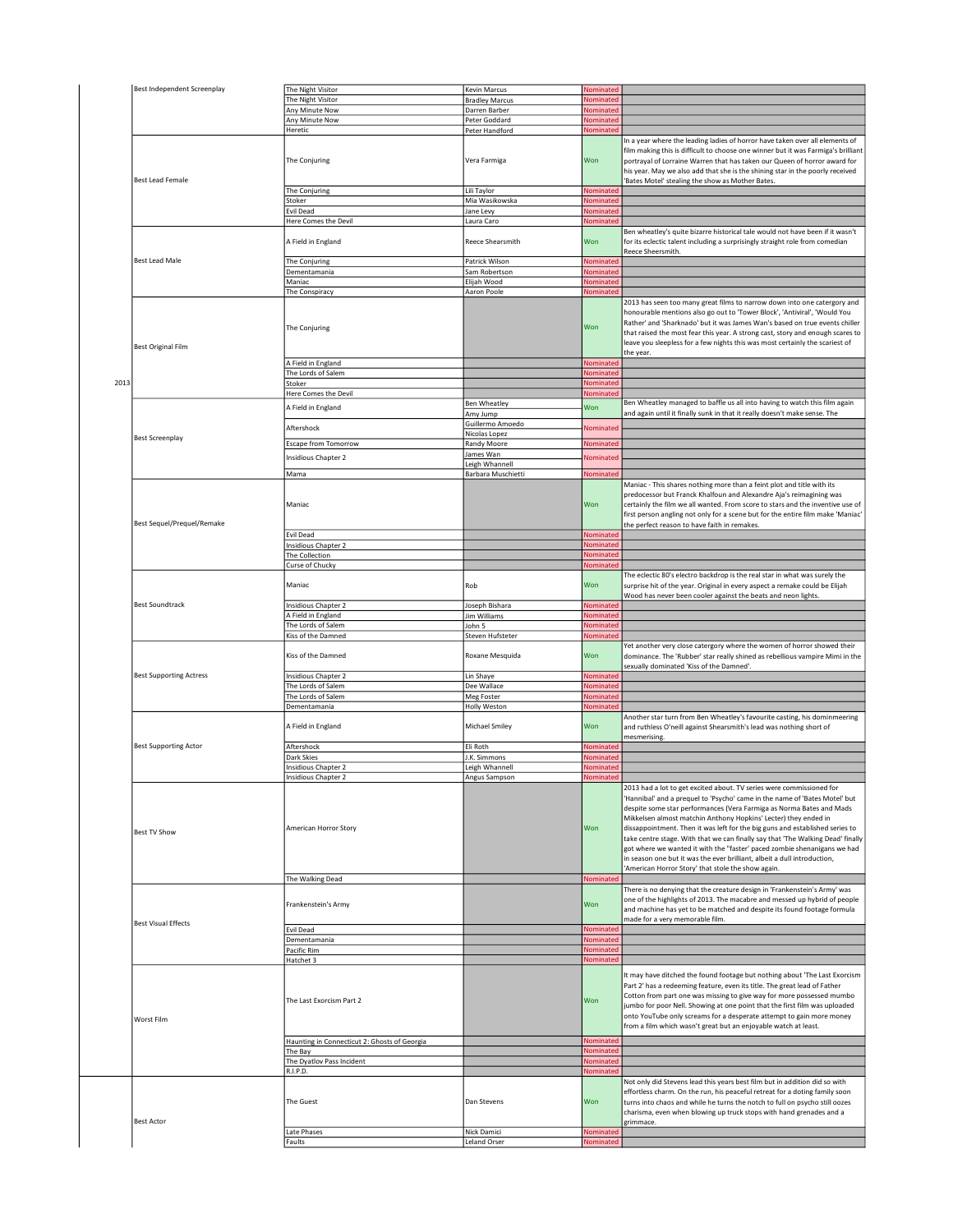|      | Best Independent Screenplay    | The Night Visitor                                                        | Kevin Marcus                  | Nominated              |                                                                                                                                                                                                                                                                                                                                                                                                                                                                                                                                                                                                                                                                                |
|------|--------------------------------|--------------------------------------------------------------------------|-------------------------------|------------------------|--------------------------------------------------------------------------------------------------------------------------------------------------------------------------------------------------------------------------------------------------------------------------------------------------------------------------------------------------------------------------------------------------------------------------------------------------------------------------------------------------------------------------------------------------------------------------------------------------------------------------------------------------------------------------------|
|      |                                | The Night Visitor                                                        | <b>Bradley Marcus</b>         | Nominated              |                                                                                                                                                                                                                                                                                                                                                                                                                                                                                                                                                                                                                                                                                |
|      |                                | Any Minute Now                                                           | Darren Barber                 | Nominated              |                                                                                                                                                                                                                                                                                                                                                                                                                                                                                                                                                                                                                                                                                |
|      |                                | Any Minute Now                                                           | Peter Goddard                 | Nominated              |                                                                                                                                                                                                                                                                                                                                                                                                                                                                                                                                                                                                                                                                                |
|      |                                | Heretic                                                                  | Peter Handford                | Nominated              |                                                                                                                                                                                                                                                                                                                                                                                                                                                                                                                                                                                                                                                                                |
|      |                                | The Conjuring                                                            | Vera Farmiga                  | Won                    | In a year where the leading ladies of horror have taken over all elements of<br>film making this is difficult to choose one winner but it was Farmiga's brilliant<br>portrayal of Lorraine Warren that has taken our Queen of horror award for<br>his year. May we also add that she is the shining star in the poorly received                                                                                                                                                                                                                                                                                                                                                |
|      | <b>Best Lead Female</b>        |                                                                          |                               |                        | 'Bates Motel' stealing the show as Mother Bates.                                                                                                                                                                                                                                                                                                                                                                                                                                                                                                                                                                                                                               |
|      |                                | The Conjuring                                                            | Lili Taylor<br>Mia Wasikowska | Nominated<br>Nominated |                                                                                                                                                                                                                                                                                                                                                                                                                                                                                                                                                                                                                                                                                |
|      |                                | Stoker<br>Evil Dead                                                      | Jane Levy                     | Nominated              |                                                                                                                                                                                                                                                                                                                                                                                                                                                                                                                                                                                                                                                                                |
|      |                                | Here Comes the Devil                                                     | Laura Caro                    | Nominated              |                                                                                                                                                                                                                                                                                                                                                                                                                                                                                                                                                                                                                                                                                |
|      |                                |                                                                          |                               |                        |                                                                                                                                                                                                                                                                                                                                                                                                                                                                                                                                                                                                                                                                                |
|      |                                | A Field in England                                                       | Reece Shearsmith              | Won                    | Ben wheatley's quite bizarre historical tale would not have been if it wasn't<br>for its eclectic talent including a surprisingly straight role from comedian<br>Reece Sheersmith.                                                                                                                                                                                                                                                                                                                                                                                                                                                                                             |
|      | <b>Best Lead Male</b>          | The Conjuring                                                            | Patrick Wilson                | Nominated              |                                                                                                                                                                                                                                                                                                                                                                                                                                                                                                                                                                                                                                                                                |
|      |                                | Dementamania                                                             | Sam Robertson                 | Nominated              |                                                                                                                                                                                                                                                                                                                                                                                                                                                                                                                                                                                                                                                                                |
|      |                                | Maniac                                                                   | Elijah Wood                   | Nominated              |                                                                                                                                                                                                                                                                                                                                                                                                                                                                                                                                                                                                                                                                                |
|      |                                | The Conspiracy                                                           | Aaron Poole                   | Nominated              |                                                                                                                                                                                                                                                                                                                                                                                                                                                                                                                                                                                                                                                                                |
|      | <b>Best Original Film</b>      | The Conjuring                                                            |                               | Won                    | 2013 has seen too many great films to narrow down into one catergory and<br>honourable mentions also go out to 'Tower Block', 'Antiviral', 'Would You<br>Rather' and 'Sharknado' but it was James Wan's based on true events chiller<br>that raised the most fear this year. A strong cast, story and enough scares to<br>leave you sleepless for a few nights this was most certainly the scariest of<br>the year.                                                                                                                                                                                                                                                            |
|      |                                | A Field in England                                                       |                               | Nominated              |                                                                                                                                                                                                                                                                                                                                                                                                                                                                                                                                                                                                                                                                                |
|      |                                | The Lords of Salem                                                       |                               | Nominated              |                                                                                                                                                                                                                                                                                                                                                                                                                                                                                                                                                                                                                                                                                |
| 2013 |                                | Stoker                                                                   |                               | Nominated              |                                                                                                                                                                                                                                                                                                                                                                                                                                                                                                                                                                                                                                                                                |
|      |                                | Here Comes the Devil                                                     |                               | Nominated              |                                                                                                                                                                                                                                                                                                                                                                                                                                                                                                                                                                                                                                                                                |
|      |                                | A Field in England                                                       | <b>Ben Wheatley</b>           | Won                    | Ben Wheatley managed to baffle us all into having to watch this film again                                                                                                                                                                                                                                                                                                                                                                                                                                                                                                                                                                                                     |
|      |                                |                                                                          | Amy Jump                      |                        | and again until it finally sunk in that it really doesn't make sense. The                                                                                                                                                                                                                                                                                                                                                                                                                                                                                                                                                                                                      |
|      |                                | Aftershock                                                               | Guillermo Amoedo              | Nominatec              |                                                                                                                                                                                                                                                                                                                                                                                                                                                                                                                                                                                                                                                                                |
|      | <b>Best Screenplay</b>         |                                                                          | Nicolas Lopez                 |                        |                                                                                                                                                                                                                                                                                                                                                                                                                                                                                                                                                                                                                                                                                |
|      |                                | Escape from Tomorrow                                                     | Randy Moore                   | Nominated              |                                                                                                                                                                                                                                                                                                                                                                                                                                                                                                                                                                                                                                                                                |
|      |                                | Insidious Chapter 2                                                      | James Wan                     | Nominated              |                                                                                                                                                                                                                                                                                                                                                                                                                                                                                                                                                                                                                                                                                |
|      |                                |                                                                          | Leigh Whannell                |                        |                                                                                                                                                                                                                                                                                                                                                                                                                                                                                                                                                                                                                                                                                |
|      |                                | Mama                                                                     | Barbara Muschietti            | Nominated              |                                                                                                                                                                                                                                                                                                                                                                                                                                                                                                                                                                                                                                                                                |
|      | Best Sequel/Prequel/Remake     | Maniac                                                                   |                               | Won                    | Maniac - This shares nothing more than a feint plot and title with its<br>predocessor but Franck Khalfoun and Alexandre Aja's reimagining was<br>certainly the film we all wanted. From score to stars and the inventive use of<br>first person angling not only for a scene but for the entire film make 'Maniac'<br>the perfect reason to have faith in remakes.                                                                                                                                                                                                                                                                                                             |
|      |                                | Evil Dead                                                                |                               | Nominated              |                                                                                                                                                                                                                                                                                                                                                                                                                                                                                                                                                                                                                                                                                |
|      |                                | Insidious Chapter 2                                                      |                               | Nominated              |                                                                                                                                                                                                                                                                                                                                                                                                                                                                                                                                                                                                                                                                                |
|      |                                | The Collection                                                           |                               | Nominated              |                                                                                                                                                                                                                                                                                                                                                                                                                                                                                                                                                                                                                                                                                |
|      |                                | Curse of Chucky<br>Maniac                                                | Rob                           | Nominated<br>Won       | The eclectic 80's electro backdrop is the real star in what was surely the<br>surprise hit of the year. Original in every aspect a remake could be Elijah<br>Wood has never been cooler against the beats and neon lights.                                                                                                                                                                                                                                                                                                                                                                                                                                                     |
|      | <b>Best Soundtrack</b>         | Insidious Chapter 2                                                      | Joseph Bishara                | Nominated              |                                                                                                                                                                                                                                                                                                                                                                                                                                                                                                                                                                                                                                                                                |
|      |                                |                                                                          |                               |                        |                                                                                                                                                                                                                                                                                                                                                                                                                                                                                                                                                                                                                                                                                |
|      |                                | A Field in England                                                       | Jim Williams                  | Nominated              |                                                                                                                                                                                                                                                                                                                                                                                                                                                                                                                                                                                                                                                                                |
|      |                                | The Lords of Salem                                                       | John 5                        | Nominated              |                                                                                                                                                                                                                                                                                                                                                                                                                                                                                                                                                                                                                                                                                |
|      |                                | Kiss of the Damned                                                       | Steven Hufsteter              | Nominated              |                                                                                                                                                                                                                                                                                                                                                                                                                                                                                                                                                                                                                                                                                |
|      |                                | Kiss of the Damned                                                       | Roxane Mesquida               | Won                    | Yet another very close catergory where the women of horror showed their<br>dominance. The 'Rubber' star really shined as rebellious vampire Mimi in the<br>sexually dominated 'Kiss of the Damned'                                                                                                                                                                                                                                                                                                                                                                                                                                                                             |
|      | <b>Best Supporting Actress</b> | Insidious Chapter 2                                                      | Lin Shaye                     | Nominated              |                                                                                                                                                                                                                                                                                                                                                                                                                                                                                                                                                                                                                                                                                |
|      |                                | The Lords of Salem                                                       | Dee Wallace                   | Nominated              |                                                                                                                                                                                                                                                                                                                                                                                                                                                                                                                                                                                                                                                                                |
|      |                                | The Lords of Salem                                                       | Meg Foster                    | Nominated              |                                                                                                                                                                                                                                                                                                                                                                                                                                                                                                                                                                                                                                                                                |
|      |                                | Dementamania                                                             | Holly Weston                  | Nominated              | Another star turn from Ben Wheatley's favourite casting, his dominmeering                                                                                                                                                                                                                                                                                                                                                                                                                                                                                                                                                                                                      |
|      |                                | A Field in England                                                       | Michael Smiley                | Won                    | and ruthless O'neill against Shearsmith's lead was nothing short of<br>mesmerising.                                                                                                                                                                                                                                                                                                                                                                                                                                                                                                                                                                                            |
|      | <b>Best Supporting Actor</b>   | Aftershock                                                               | Eli Roth                      | Nominated              |                                                                                                                                                                                                                                                                                                                                                                                                                                                                                                                                                                                                                                                                                |
|      |                                | Dark Skies                                                               | J.K. Simmons                  | Nominated              |                                                                                                                                                                                                                                                                                                                                                                                                                                                                                                                                                                                                                                                                                |
|      |                                | Insidious Chapter 2                                                      | Leigh Whannell                | Nominated              |                                                                                                                                                                                                                                                                                                                                                                                                                                                                                                                                                                                                                                                                                |
|      |                                | Insidious Chanter 2                                                      | <b>Angus Samnson</b>          | Nominated              |                                                                                                                                                                                                                                                                                                                                                                                                                                                                                                                                                                                                                                                                                |
|      | Best TV Show                   | American Horror Story<br>The Walking Dead                                |                               | Won<br>Nominated       | 2013 had a lot to get excited about. TV series were commissioned for<br>'Hannibal' and a prequel to 'Psycho' came in the name of 'Bates Motel' but<br>despite some star performances (Vera Farmiga as Norma Bates and Mads<br>Mikkelsen almost matchin Anthony Hopkins' Lecter) they ended in<br>dissappointment. Then it was left for the big guns and established series to<br>take centre stage. With that we can finally say that 'The Walking Dead' finally<br>got where we wanted it with the "faster' paced zombie shenanigans we had<br>in season one but it was the ever brilliant, albeit a dull introduction,<br>'American Horror Story' that stole the show again. |
|      | <b>Best Visual Effects</b>     | Frankenstein's Army                                                      |                               | Won                    | There is no denying that the creature design in 'Frankenstein's Army' was<br>one of the highlights of 2013. The macabre and messed up hybrid of people<br>and machine has yet to be matched and despite its found footage formula<br>made for a very memorable film.                                                                                                                                                                                                                                                                                                                                                                                                           |
|      |                                | Evil Dead                                                                |                               | Nominated              |                                                                                                                                                                                                                                                                                                                                                                                                                                                                                                                                                                                                                                                                                |
|      |                                | Dementamania                                                             |                               | Nominated              |                                                                                                                                                                                                                                                                                                                                                                                                                                                                                                                                                                                                                                                                                |
|      |                                | Pacific Rim                                                              |                               | Nominated              |                                                                                                                                                                                                                                                                                                                                                                                                                                                                                                                                                                                                                                                                                |
|      |                                | Hatchet 3                                                                |                               | Nominated              |                                                                                                                                                                                                                                                                                                                                                                                                                                                                                                                                                                                                                                                                                |
|      | Worst Film                     | The Last Exorcism Part 2<br>Haunting in Connecticut 2: Ghosts of Georgia |                               | Won<br>Nominated       | It may have ditched the found footage but nothing about 'The Last Exorcism<br>Part 2' has a redeeming feature, even its title. The great lead of Father<br>Cotton from part one was missing to give way for more possessed mumbo<br>jumbo for poor Nell. Showing at one point that the first film was uploaded<br>onto YouTube only screams for a desperate attempt to gain more money<br>from a film which wasn't great but an enjoyable watch at least.                                                                                                                                                                                                                      |
|      |                                | The Bay                                                                  |                               | Nominated              |                                                                                                                                                                                                                                                                                                                                                                                                                                                                                                                                                                                                                                                                                |
|      |                                | The Dyatlov Pass Incident                                                |                               | Nominated              |                                                                                                                                                                                                                                                                                                                                                                                                                                                                                                                                                                                                                                                                                |
|      |                                | R.I.P.D.                                                                 |                               | Nominated              |                                                                                                                                                                                                                                                                                                                                                                                                                                                                                                                                                                                                                                                                                |
|      |                                | The Guest                                                                | Dan Stevens                   | Won                    | Not only did Stevens lead this years best film but in addition did so with<br>effortless charm. On the run, his peaceful retreat for a doting family soon<br>turns into chaos and while he turns the notch to full on psycho still oozes<br>charisma, even when blowing up truck stops with hand grenades and a                                                                                                                                                                                                                                                                                                                                                                |
|      |                                |                                                                          |                               |                        |                                                                                                                                                                                                                                                                                                                                                                                                                                                                                                                                                                                                                                                                                |
|      | <b>Best Actor</b>              |                                                                          |                               |                        | grimmace.                                                                                                                                                                                                                                                                                                                                                                                                                                                                                                                                                                                                                                                                      |
|      |                                | Late Phases                                                              | Nick Damici                   | Nominated              |                                                                                                                                                                                                                                                                                                                                                                                                                                                                                                                                                                                                                                                                                |
|      |                                | Faults                                                                   | Leland Orser                  | Nominated              |                                                                                                                                                                                                                                                                                                                                                                                                                                                                                                                                                                                                                                                                                |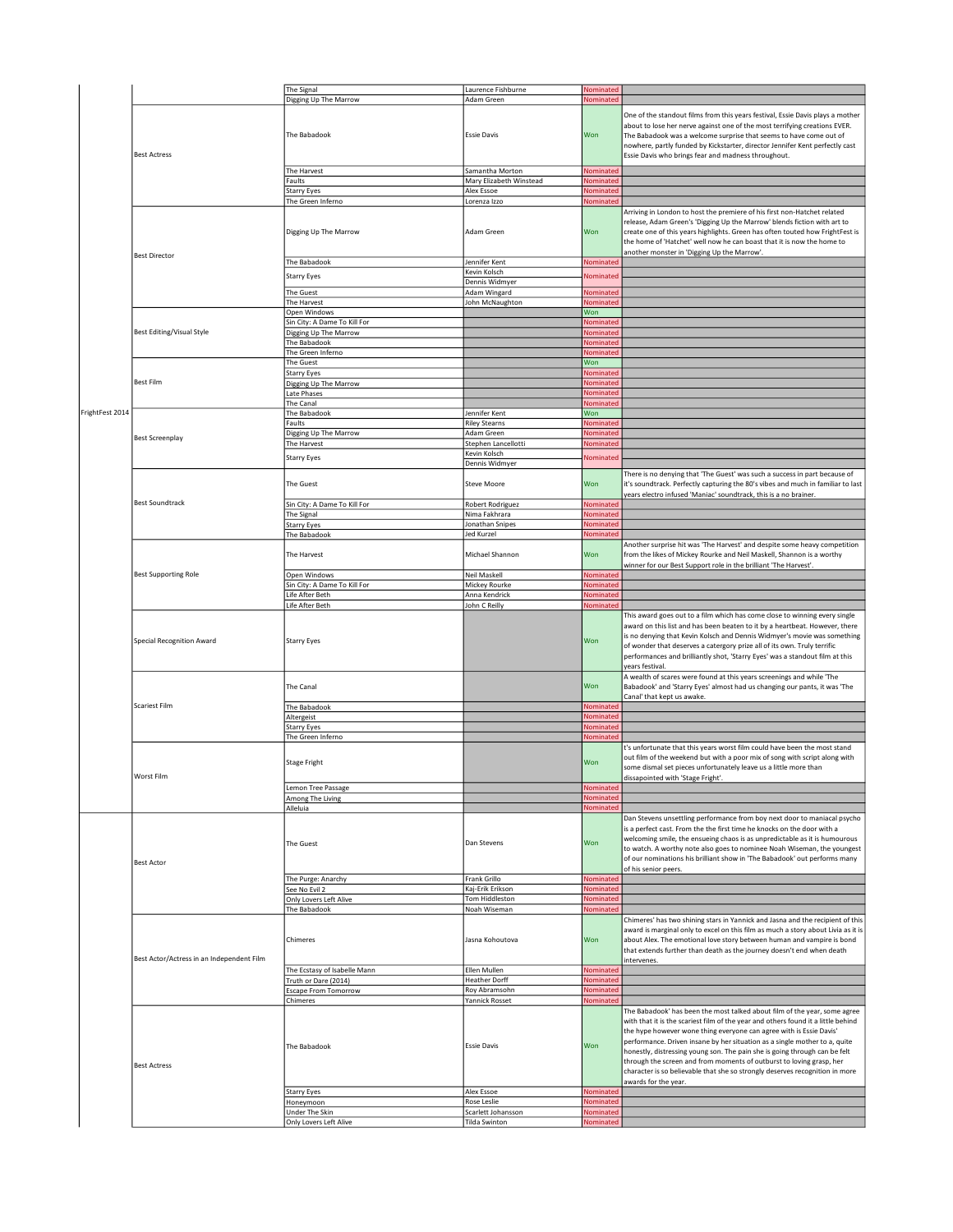|                 |                                           | The Signal                               | Laurence Fishburne                  | Nominated              |                                                                                   |
|-----------------|-------------------------------------------|------------------------------------------|-------------------------------------|------------------------|-----------------------------------------------------------------------------------|
|                 |                                           | Digging Up The Marrow                    | Adam Green                          | Nominated              |                                                                                   |
|                 |                                           |                                          |                                     |                        |                                                                                   |
|                 |                                           |                                          |                                     |                        | One of the standout films from this years festival, Essie Davis plays a mother    |
|                 |                                           |                                          |                                     |                        | about to lose her nerve against one of the most terrifying creations EVER.        |
|                 |                                           | The Babadook                             | <b>Essie Davis</b>                  | Won                    | The Babadook was a welcome surprise that seems to have come out of                |
|                 |                                           |                                          |                                     |                        | nowhere, partly funded by Kickstarter, director Jennifer Kent perfectly cast      |
|                 | <b>Best Actress</b>                       |                                          |                                     |                        | Essie Davis who brings fear and madness throughout.                               |
|                 |                                           |                                          |                                     |                        |                                                                                   |
|                 |                                           | The Harvest                              | Samantha Morton                     | Nominated              |                                                                                   |
|                 |                                           | Faults                                   | Mary Elizabeth Winstead             | Nominated              |                                                                                   |
|                 |                                           | Starry Eyes                              | Alex Essoe                          | Nominated              |                                                                                   |
|                 |                                           |                                          |                                     |                        |                                                                                   |
|                 |                                           | The Green Inferno                        | Lorenza Izzo                        | Nominated              |                                                                                   |
|                 |                                           |                                          |                                     |                        | Arriving in London to host the premiere of his first non-Hatchet related          |
|                 |                                           |                                          |                                     |                        | release, Adam Green's 'Digging Up the Marrow' blends fiction with art to          |
|                 |                                           | Digging Up The Marrow                    | Adam Green                          | Won                    | create one of this years highlights. Green has often touted how FrightFest is     |
|                 |                                           |                                          |                                     |                        | the home of 'Hatchet' well now he can boast that it is now the home to            |
|                 |                                           |                                          |                                     |                        | another monster in 'Digging Up the Marrow'.                                       |
|                 | <b>Best Director</b>                      |                                          |                                     |                        |                                                                                   |
|                 |                                           | The Babadook                             | Jennifer Kent                       | Nominated              |                                                                                   |
|                 |                                           | Starry Eyes                              | Kevin Kolsch                        | Nominated              |                                                                                   |
|                 |                                           |                                          | Dennis Widmyer                      |                        |                                                                                   |
|                 |                                           | The Guest                                | Adam Wingard                        | Nominated              |                                                                                   |
|                 |                                           | The Harvest                              | John McNaughton                     | Nominated              |                                                                                   |
|                 |                                           | Open Windows                             |                                     | Won                    |                                                                                   |
|                 |                                           | Sin City: A Dame To Kill For             |                                     | Nominated              |                                                                                   |
|                 | Best Editing/Visual Style                 |                                          |                                     |                        |                                                                                   |
|                 |                                           | Digging Up The Marrow                    |                                     | Nominated              |                                                                                   |
|                 |                                           | The Babadook                             |                                     | Nominated              |                                                                                   |
|                 |                                           | The Green Inferno                        |                                     | Nominated              |                                                                                   |
|                 |                                           | The Guest                                |                                     | Won                    |                                                                                   |
|                 |                                           | <b>Starry Eyes</b>                       |                                     | Nominated              |                                                                                   |
|                 | <b>Best Film</b>                          | Digging Up The Marrow                    |                                     | Nominated              |                                                                                   |
|                 |                                           | Late Phases                              |                                     | <b>Nominated</b>       |                                                                                   |
|                 |                                           |                                          |                                     |                        |                                                                                   |
|                 |                                           | The Canal                                |                                     | Nominated              |                                                                                   |
| FrightFest 2014 |                                           | The Babadook                             | Jennifer Kent                       | Won                    |                                                                                   |
|                 |                                           | Faults                                   | <b>Riley Stearns</b>                | Nominate               |                                                                                   |
|                 | <b>Best Screenplay</b>                    | Digging Up The Marrow                    | Adam Green                          | Nominater              |                                                                                   |
|                 |                                           | The Harvest                              | Stephen Lancellotti                 | Nominated              |                                                                                   |
|                 |                                           |                                          | Kevin Kolsch                        |                        |                                                                                   |
|                 |                                           | <b>Starry Eyes</b>                       | Dennis Widmyer                      | Nominatec              |                                                                                   |
|                 |                                           |                                          |                                     |                        |                                                                                   |
|                 |                                           |                                          |                                     |                        | There is no denying that 'The Guest' was such a success in part because of        |
|                 |                                           | The Guest                                | <b>Steve Moore</b>                  | Won                    | it's soundtrack. Perfectly capturing the 80's vibes and much in familiar to last  |
|                 |                                           |                                          |                                     |                        | years electro infused 'Maniac' soundtrack, this is a no brainer.                  |
|                 | <b>Best Soundtrack</b>                    | Sin City: A Dame To Kill For             | <b>Robert Rodriguez</b>             | Nominated              |                                                                                   |
|                 |                                           | The Signal                               | Nima Fakhrara                       | Nominated              |                                                                                   |
|                 |                                           |                                          | Jonathan Snipes                     | Nominated              |                                                                                   |
|                 |                                           | <b>Starry Eyes</b>                       |                                     |                        |                                                                                   |
|                 |                                           | The Babadook                             | Jed Kurzel                          | Nominated              |                                                                                   |
|                 |                                           |                                          |                                     |                        | Another surprise hit was 'The Harvest' and despite some heavy competition         |
|                 |                                           | The Harvest                              | Michael Shannon                     | Won                    | from the likes of Mickey Rourke and Neil Maskell, Shannon is a worthy             |
|                 |                                           |                                          |                                     |                        | winner for our Best Support role in the brilliant 'The Harvest'.                  |
|                 | <b>Best Supporting Role</b>               | Open Windows                             | Neil Maskell                        | Nominated              |                                                                                   |
|                 |                                           | Sin City: A Dame To Kill For             | Mickey Rourke                       | Nominated              |                                                                                   |
|                 |                                           | Life After Beth                          | Anna Kendrick                       | Nominated              |                                                                                   |
|                 |                                           |                                          |                                     |                        |                                                                                   |
|                 |                                           | Life After Beth                          | John C Reilly                       | Nominated              |                                                                                   |
|                 |                                           |                                          |                                     |                        | This award goes out to a film which has come close to winning every single        |
|                 |                                           |                                          |                                     |                        | award on this list and has been beaten to it by a heartbeat. However, there       |
|                 |                                           |                                          |                                     | Won                    | is no denying that Kevin Kolsch and Dennis Widmyer's movie was something          |
|                 | <b>Special Recognition Award</b>          | <b>Starry Eyes</b>                       |                                     |                        |                                                                                   |
|                 |                                           |                                          |                                     |                        |                                                                                   |
|                 |                                           |                                          |                                     |                        | of wonder that deserves a catergory prize all of its own. Truly terrific          |
|                 |                                           |                                          |                                     |                        | performances and brilliantly shot, 'Starry Eyes' was a standout film at this      |
|                 |                                           |                                          |                                     |                        | years festival                                                                    |
|                 |                                           |                                          |                                     |                        | A wealth of scares were found at this years screenings and while 'The             |
|                 |                                           | The Canal                                |                                     | Won                    | Babadook' and 'Starry Eyes' almost had us changing our pants, it was 'The         |
|                 |                                           |                                          |                                     |                        | Canal' that kept us awake                                                         |
|                 | <b>Scariest Film</b>                      | The Babadook                             |                                     | Nominatec              |                                                                                   |
|                 |                                           |                                          |                                     | Nominated              |                                                                                   |
|                 |                                           | Altergeist                               |                                     |                        |                                                                                   |
|                 |                                           | <b>Starry Eyes</b>                       |                                     | Nominate               |                                                                                   |
|                 |                                           | The Green Inferno                        |                                     | Nominater              |                                                                                   |
|                 |                                           |                                          |                                     |                        | t's unfortunate that this years worst film could have been the most stand         |
|                 |                                           |                                          |                                     |                        | out film of the weekend but with a poor mix of song with script along with        |
|                 |                                           | <b>Stage Fright</b>                      |                                     | Won                    |                                                                                   |
|                 |                                           |                                          |                                     |                        | some dismal set pieces unfortunately leave us a little more than                  |
|                 | Worst Film                                |                                          |                                     |                        | dissapointed with 'Stage Fright'.                                                 |
|                 |                                           | Lemon Tree Passage                       |                                     | Nominated              |                                                                                   |
|                 |                                           | Among The Living                         |                                     | Nominated              |                                                                                   |
|                 |                                           | Alleluia                                 |                                     | Nominated              |                                                                                   |
|                 |                                           |                                          |                                     |                        | Dan Stevens unsettling performance from boy next door to maniacal psycho          |
|                 |                                           |                                          |                                     |                        | is a perfect cast. From the the first time he knocks on the door with a           |
|                 |                                           |                                          |                                     |                        | welcoming smile, the ensueing chaos is as unpredictable as it is humourous        |
|                 |                                           | <b>The Guest</b>                         | Dan Stevens                         | Won                    |                                                                                   |
|                 |                                           |                                          |                                     |                        | to watch. A worthy note also goes to nominee Noah Wiseman, the youngest           |
|                 | <b>Best Actor</b>                         |                                          |                                     |                        | of our nominations his brilliant show in 'The Babadook' out performs many         |
|                 |                                           |                                          |                                     |                        | of his senior peers.                                                              |
|                 |                                           | The Purge: Anarchy                       | Frank Grillo                        | Nominated              |                                                                                   |
|                 |                                           | See No Evil 2                            | Kaj-Erik Erikson                    | Nominated              |                                                                                   |
|                 |                                           | Only Lovers Left Alive                   | Tom Hiddleston                      | Nominated              |                                                                                   |
|                 |                                           | The Babadook                             | Noah Wiseman                        | Nominated              |                                                                                   |
|                 |                                           |                                          |                                     |                        |                                                                                   |
|                 |                                           |                                          |                                     |                        | Chimeres' has two shining stars in Yannick and Jasna and the recipient of this    |
|                 |                                           |                                          |                                     |                        | award is marginal only to excel on this film as much a story about Livia as it is |
|                 |                                           | Chimeres                                 | Jasna Kohoutova                     | Won                    | about Alex. The emotional love story between human and vampire is bond            |
|                 |                                           |                                          |                                     |                        | that extends further than death as the journey doesn't end when death             |
|                 | Best Actor/Actress in an Independent Film |                                          |                                     |                        | intervenes.                                                                       |
|                 |                                           | The Ecstasy of Isabelle Mann             | Ellen Mullen                        | Nominated              |                                                                                   |
|                 |                                           |                                          |                                     |                        |                                                                                   |
|                 |                                           | Truth or Dare (2014)                     | <b>Heather Dorff</b>                | Nominated              |                                                                                   |
|                 |                                           | <b>Escape From Tomorrow</b>              | Roy Abramsohn                       | <b>Nominated</b>       |                                                                                   |
|                 |                                           | Chimeres                                 | Yannick Rosset                      | Nominated              |                                                                                   |
|                 |                                           |                                          |                                     |                        | The Babadook' has been the most talked about film of the year, some agree         |
|                 |                                           |                                          |                                     |                        | with that it is the scariest film of the year and others found it a little behind |
|                 |                                           |                                          |                                     |                        | the hype however wone thing everyone can agree with is Essie Davis'               |
|                 |                                           |                                          |                                     |                        | performance. Driven insane by her situation as a single mother to a, quite        |
|                 |                                           | The Babadook                             | <b>Essie Davis</b>                  | Won                    | honestly, distressing young son. The pain she is going through can be felt        |
|                 |                                           |                                          |                                     |                        |                                                                                   |
|                 | <b>Best Actress</b>                       |                                          |                                     |                        | through the screen and from moments of outburst to loving grasp, her              |
|                 |                                           |                                          |                                     |                        | character is so believable that she so strongly deserves recognition in more      |
|                 |                                           |                                          |                                     |                        | awards for the year.                                                              |
|                 |                                           | <b>Starry Eyes</b>                       | Alex Essoe                          | Nominated              |                                                                                   |
|                 |                                           | Honeymoon                                | Rose Leslie                         | Nominated              |                                                                                   |
|                 |                                           | Under The Skin<br>Only Lovers Left Alive | Scarlett Johansson<br>Tilda Swinton | Nominated<br>Nominated |                                                                                   |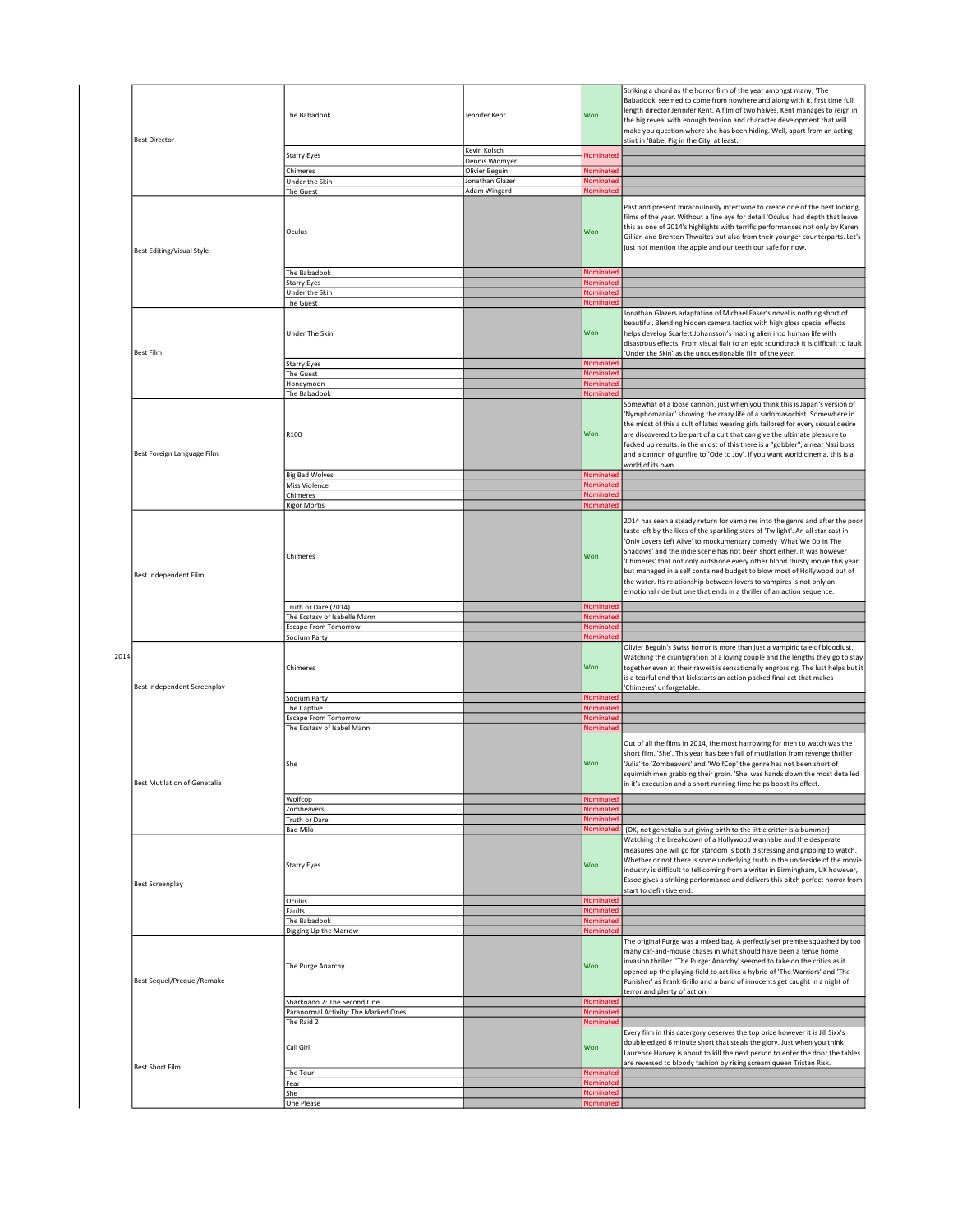|      |                                  | The Babadook                                                              | Jennifer Kent   | Won                    | Striking a chord as the horror film of the year amongst many, 'The<br>Babadook' seemed to come from nowhere and along with it, first time full<br>length director Jennifer Kent. A film of two halves, Kent manages to reign in<br>the big reveal with enough tension and character development that will                                                                                                                                                                                                                                                                                                                    |
|------|----------------------------------|---------------------------------------------------------------------------|-----------------|------------------------|------------------------------------------------------------------------------------------------------------------------------------------------------------------------------------------------------------------------------------------------------------------------------------------------------------------------------------------------------------------------------------------------------------------------------------------------------------------------------------------------------------------------------------------------------------------------------------------------------------------------------|
|      | <b>Best Director</b>             |                                                                           |                 |                        | make you question where she has been hiding. Well, apart from an acting                                                                                                                                                                                                                                                                                                                                                                                                                                                                                                                                                      |
|      |                                  |                                                                           | Kevin Kolsch    |                        | stint in 'Babe: Pig in the City' at least.                                                                                                                                                                                                                                                                                                                                                                                                                                                                                                                                                                                   |
|      |                                  | <b>Starry Eyes</b>                                                        | Dennis Widmyer  | Nominated              |                                                                                                                                                                                                                                                                                                                                                                                                                                                                                                                                                                                                                              |
|      |                                  | Chimeres                                                                  | Olivier Beguin  | Nominated              |                                                                                                                                                                                                                                                                                                                                                                                                                                                                                                                                                                                                                              |
|      |                                  | Under the Skin                                                            | Jonathan Glazer | Nominated              |                                                                                                                                                                                                                                                                                                                                                                                                                                                                                                                                                                                                                              |
|      |                                  | The Guest                                                                 | Adam Wingard    | Nominated              |                                                                                                                                                                                                                                                                                                                                                                                                                                                                                                                                                                                                                              |
|      | <b>Best Editing/Visual Style</b> | Oculus                                                                    |                 | Won                    | Past and present miracoulously intertwine to create one of the best looking<br>films of the year. Without a fine eye for detail 'Oculus' had depth that leave<br>this as one of 2014's highlights with terrific performances not only by Karen<br>Gillian and Brenton Thwaites but also from their younger counterparts. Let's<br>just not mention the apple and our teeth our safe for now.                                                                                                                                                                                                                                 |
|      |                                  | The Babadook                                                              |                 | Nominated              |                                                                                                                                                                                                                                                                                                                                                                                                                                                                                                                                                                                                                              |
|      |                                  | <b>Starry Eyes</b>                                                        |                 | Nominated              |                                                                                                                                                                                                                                                                                                                                                                                                                                                                                                                                                                                                                              |
|      |                                  | Under the Skin<br>The Guest                                               |                 | Nominated<br>Nominated |                                                                                                                                                                                                                                                                                                                                                                                                                                                                                                                                                                                                                              |
|      |                                  | Under The Skin                                                            |                 | Won                    | Jonathan Glazers adaptation of Michael Faser's novel is nothing short of<br>beautiful. Blending hidden camera tactics with high gloss special effects<br>helps develop Scarlett Johansson's mating alien into human life with<br>disastrous effects. From visual flair to an epic soundtrack it is difficult to fault                                                                                                                                                                                                                                                                                                        |
|      | <b>Best Film</b>                 |                                                                           |                 |                        | 'Under the Skin' as the unquestionable film of the year.                                                                                                                                                                                                                                                                                                                                                                                                                                                                                                                                                                     |
|      |                                  | Starry Eyes<br>The Guest                                                  |                 | Nominated<br>Nominated |                                                                                                                                                                                                                                                                                                                                                                                                                                                                                                                                                                                                                              |
|      |                                  | Honeymoon                                                                 |                 | Nominated              |                                                                                                                                                                                                                                                                                                                                                                                                                                                                                                                                                                                                                              |
|      |                                  | The Babadook                                                              |                 | Nominated              |                                                                                                                                                                                                                                                                                                                                                                                                                                                                                                                                                                                                                              |
|      | Best Foreign Language Film       | R100                                                                      |                 | Won                    | Somewhat of a loose cannon, just when you think this is Japan's version of<br>'Nymphomaniac' showing the crazy life of a sadomasochist. Somewhere in<br>the midst of this a cult of latex wearing girls tailored for every sexual desire<br>are discovered to be part of a cult that can give the ultimate pleasure to<br>fucked up results. in the midst of this there is a "gobbler", a near Nazi boss<br>and a cannon of gunfire to 'Ode to Joy'. If you want world cinema, this is a<br>world of its own.                                                                                                                |
|      |                                  | <b>Big Bad Wolves</b>                                                     |                 | Nominated              |                                                                                                                                                                                                                                                                                                                                                                                                                                                                                                                                                                                                                              |
|      |                                  | Miss Violence<br>Chimeres                                                 |                 | Nominated<br>Nominated |                                                                                                                                                                                                                                                                                                                                                                                                                                                                                                                                                                                                                              |
|      |                                  | <b>Rigor Mortis</b>                                                       |                 | Nominated              |                                                                                                                                                                                                                                                                                                                                                                                                                                                                                                                                                                                                                              |
|      | Best Independent Film            | Chimeres                                                                  |                 | Won                    | 2014 has seen a steady return for vampires into the genre and after the poor<br>taste left by the likes of the sparkling stars of 'Twilight'. An all star cast in<br>'Only Lovers Left Alive' to mockumentary comedy 'What We Do In The<br>Shadows' and the indie scene has not been short either. It was however<br>Chimeres' that not only outshone every other blood thirsty movie this year<br>but managed in a self contained budget to blow most of Hollywood out of<br>the water. Its relationship between lovers to vampires is not only an<br>emotional ride but one that ends in a thriller of an action sequence. |
|      |                                  | Truth or Dare (2014)                                                      |                 | Nominated              |                                                                                                                                                                                                                                                                                                                                                                                                                                                                                                                                                                                                                              |
|      |                                  | The Ecstasy of Isabelle Mann                                              |                 | Nominated<br>Nominated |                                                                                                                                                                                                                                                                                                                                                                                                                                                                                                                                                                                                                              |
|      |                                  | <b>Escape From Tomorrow</b><br>Sodium Party                               |                 | Nominated              |                                                                                                                                                                                                                                                                                                                                                                                                                                                                                                                                                                                                                              |
| 2014 | Best Independent Screenplay      | Chimeres                                                                  |                 | Won                    | Olivier Beguin's Swiss horror is more than just a vampiric tale of bloodlust.<br>Watching the disintigration of a loving couple and the lengths they go to stay<br>together even at their rawest is sensationally engrossing. The lust helps but it<br>is a tearful end that kickstarts an action packed final act that makes<br>'Chimeres' unforgetable.                                                                                                                                                                                                                                                                    |
|      |                                  | Sodium Party                                                              |                 | Nominated              |                                                                                                                                                                                                                                                                                                                                                                                                                                                                                                                                                                                                                              |
|      |                                  | The Captive                                                               |                 | Nominated<br>Nominated |                                                                                                                                                                                                                                                                                                                                                                                                                                                                                                                                                                                                                              |
|      |                                  | <b>Escape From Tomorrow</b><br>The Ecstasy of Isabel Mann                 |                 | Nominated              |                                                                                                                                                                                                                                                                                                                                                                                                                                                                                                                                                                                                                              |
|      | Best Mutilation of Genetalia     | She                                                                       |                 | Won                    | Out of all the films in 2014, the most harrowing for men to watch was the<br>short film, 'She'. This year has been full of mutilation from revenge thriller<br>'Julia' to 'Zombeavers' and 'WolfCop' the genre has not been short of<br>squimish men grabbing their groin. 'She' was hands down the most detailed<br>in it's execution and a short running time helps boost its effect.                                                                                                                                                                                                                                      |
|      |                                  | Wolfcop                                                                   |                 | Nominated              |                                                                                                                                                                                                                                                                                                                                                                                                                                                                                                                                                                                                                              |
|      |                                  | Zombeavers                                                                |                 | Nominated              |                                                                                                                                                                                                                                                                                                                                                                                                                                                                                                                                                                                                                              |
|      |                                  | Truth or Dare<br><b>Bad Milo</b>                                          |                 | Nominated<br>Nominated | (OK, not genetalia but giving birth to the little critter is a bummer)                                                                                                                                                                                                                                                                                                                                                                                                                                                                                                                                                       |
|      | <b>Best Screenplay</b>           | <b>Starry Eyes</b>                                                        |                 | Won                    | Watching the breakdown of a Hollywood wannabe and the desperate<br>measures one will go for stardom is both distressing and gripping to watch.<br>Whether or not there is some underlying truth in the underside of the movie<br>industry is difficult to tell coming from a writer in Birmingham, UK however,<br>Essoe gives a striking performance and delivers this pitch perfect horror from<br>start to definitive end.                                                                                                                                                                                                 |
|      |                                  | Oculus                                                                    |                 | Nominated              |                                                                                                                                                                                                                                                                                                                                                                                                                                                                                                                                                                                                                              |
|      |                                  | Faults                                                                    |                 | Nominated              |                                                                                                                                                                                                                                                                                                                                                                                                                                                                                                                                                                                                                              |
|      |                                  | The Babadook                                                              |                 | Nominated<br>Nominated |                                                                                                                                                                                                                                                                                                                                                                                                                                                                                                                                                                                                                              |
|      | Best Sequel/Prequel/Remake       | Digging Up the Marrow<br>The Purge Anarchy<br>Sharknado 2: The Second One |                 | Won<br>Nominated       | The original Purge was a mixed bag. A perfectly set premise squashed by too<br>many cat-and-mouse chases in what should have been a tense home<br>invasion thriller. 'The Purge: Anarchy' seemed to take on the critics as it<br>opened up the playing field to act like a hybrid of 'The Warriors' and 'The<br>Punisher' as Frank Grillo and a band of innocents get caught in a night of<br>terror and plenty of action.                                                                                                                                                                                                   |
|      |                                  | Paranormal Activity: The Marked Ones                                      |                 | Nominated              |                                                                                                                                                                                                                                                                                                                                                                                                                                                                                                                                                                                                                              |
|      |                                  | The Raid 2                                                                |                 | Nominated              |                                                                                                                                                                                                                                                                                                                                                                                                                                                                                                                                                                                                                              |
|      | Best Short Film                  | Call Girl                                                                 |                 | Won                    | Every film in this catergory deserves the top prize however it is Jill Sixx's<br>double edged 6 minute short that steals the glory. Just when you think<br>Laurence Harvey is about to kill the next person to enter the door the tables<br>are reversed to bloody fashion by rising scream queen Tristan Risk.                                                                                                                                                                                                                                                                                                              |
|      |                                  | The Tour<br>Fear                                                          |                 | Nominated<br>Nominated |                                                                                                                                                                                                                                                                                                                                                                                                                                                                                                                                                                                                                              |
|      |                                  | She                                                                       |                 | Nominated              |                                                                                                                                                                                                                                                                                                                                                                                                                                                                                                                                                                                                                              |
|      |                                  | One Please                                                                |                 | Nominated              |                                                                                                                                                                                                                                                                                                                                                                                                                                                                                                                                                                                                                              |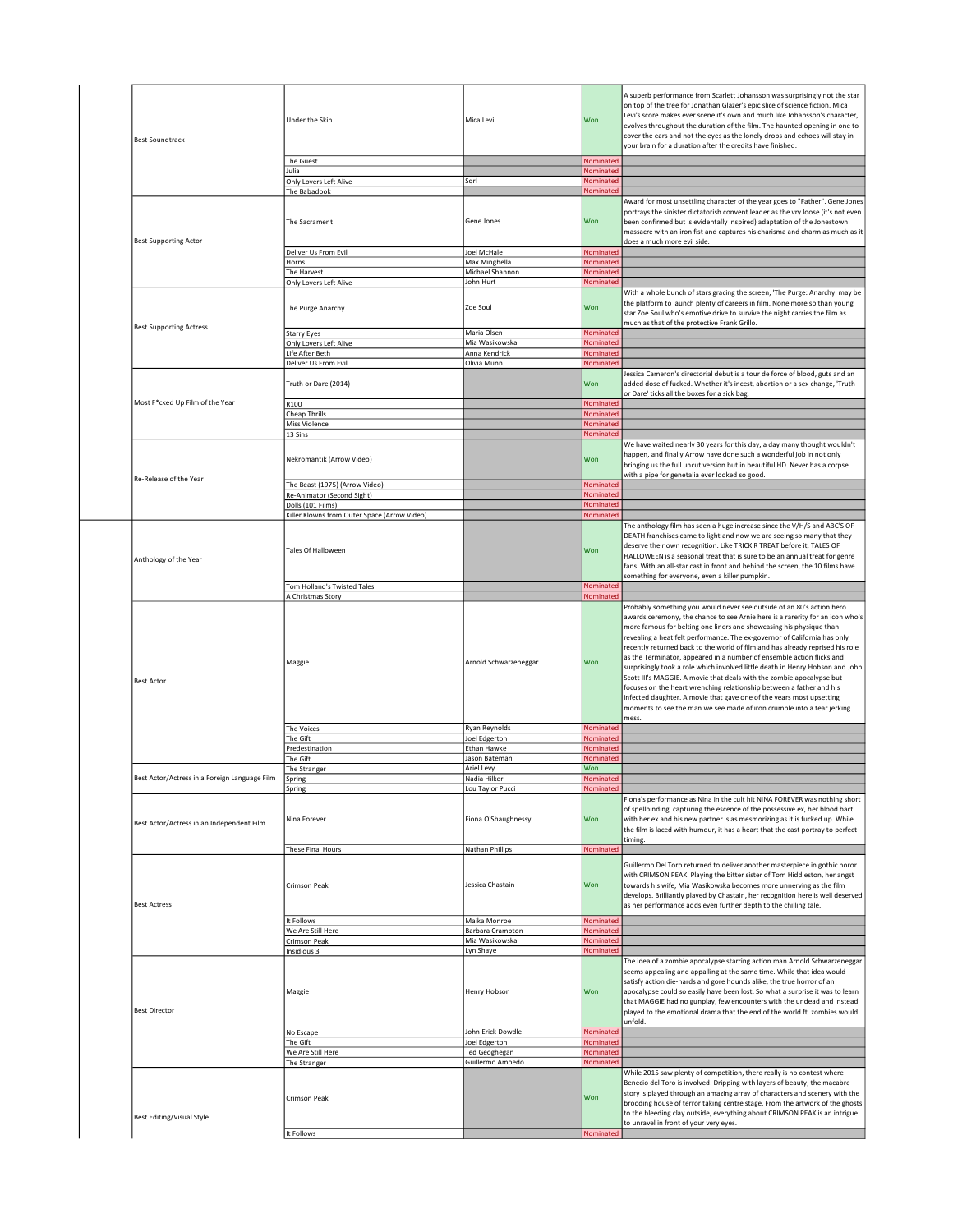| <b>Best Soundtrack</b>                        | Under the Skin                               | Mica Levi                               | Won              | A superb performance from Scarlett Johansson was surprisingly not the star<br>on top of the tree for Jonathan Glazer's epic slice of science fiction. Mica<br>Levi's score makes ever scene it's own and much like Johansson's character,<br>evolves throughout the duration of the film. The haunted opening in one to<br>cover the ears and not the eyes as the lonely drops and echoes will stay in<br>your brain for a duration after the credits have finished.                                                                                                                                                           |
|-----------------------------------------------|----------------------------------------------|-----------------------------------------|------------------|--------------------------------------------------------------------------------------------------------------------------------------------------------------------------------------------------------------------------------------------------------------------------------------------------------------------------------------------------------------------------------------------------------------------------------------------------------------------------------------------------------------------------------------------------------------------------------------------------------------------------------|
|                                               |                                              |                                         |                  |                                                                                                                                                                                                                                                                                                                                                                                                                                                                                                                                                                                                                                |
|                                               | The Guest                                    |                                         | Nominated        |                                                                                                                                                                                                                                                                                                                                                                                                                                                                                                                                                                                                                                |
|                                               | Julia                                        |                                         | Nominated        |                                                                                                                                                                                                                                                                                                                                                                                                                                                                                                                                                                                                                                |
|                                               | Only Lovers Left Alive                       | Sqrl                                    | Nominated        |                                                                                                                                                                                                                                                                                                                                                                                                                                                                                                                                                                                                                                |
|                                               | The Babadook                                 |                                         | Nominated        |                                                                                                                                                                                                                                                                                                                                                                                                                                                                                                                                                                                                                                |
| <b>Best Supporting Actor</b>                  | The Sacrament                                | Gene Jones                              | Won              | Award for most unsettling character of the year goes to "Father". Gene Jones<br>portrays the sinister dictatorish convent leader as the vry loose (it's not even<br>been confirmed but is evidentally inspired) adaptation of the Jonestown<br>massacre with an iron fist and captures his charisma and charm as much as it<br>does a much more evil side.                                                                                                                                                                                                                                                                     |
|                                               | Deliver Us From Evil                         | Joel McHale                             | Nominated        |                                                                                                                                                                                                                                                                                                                                                                                                                                                                                                                                                                                                                                |
|                                               | Horns                                        | Max Minghella                           | Nominated        |                                                                                                                                                                                                                                                                                                                                                                                                                                                                                                                                                                                                                                |
|                                               | The Harvest                                  | Michael Shannon                         | Nominated        |                                                                                                                                                                                                                                                                                                                                                                                                                                                                                                                                                                                                                                |
|                                               | Only Lovers Left Alive                       | John Hurt                               | Nominated        |                                                                                                                                                                                                                                                                                                                                                                                                                                                                                                                                                                                                                                |
| <b>Best Supporting Actress</b>                | The Purge Anarchy                            | Zoe Soul                                | Won              | With a whole bunch of stars gracing the screen, 'The Purge: Anarchy' may be<br>the platform to launch plenty of careers in film. None more so than young<br>star Zoe Soul who's emotive drive to survive the night carries the film as<br>much as that of the protective Frank Grillo.                                                                                                                                                                                                                                                                                                                                         |
|                                               | <b>Starry Eyes</b>                           | Maria Olsen                             | Nominated        |                                                                                                                                                                                                                                                                                                                                                                                                                                                                                                                                                                                                                                |
|                                               | Only Lovers Left Alive                       | Mia Wasikowska                          | Nominated        |                                                                                                                                                                                                                                                                                                                                                                                                                                                                                                                                                                                                                                |
|                                               | Life After Beth                              | Anna Kendrick                           | Nominated        |                                                                                                                                                                                                                                                                                                                                                                                                                                                                                                                                                                                                                                |
|                                               | Deliver Us From Evil                         | Olivia Munn                             | Nominated        |                                                                                                                                                                                                                                                                                                                                                                                                                                                                                                                                                                                                                                |
| Most F*cked Up Film of the Year               | Truth or Dare (2014)<br>R100                 |                                         | Won<br>Nominated | Jessica Cameron's directorial debut is a tour de force of blood, guts and an<br>added dose of fucked. Whether it's incest, abortion or a sex change, 'Truth<br>or Dare' ticks all the boxes for a sick bag.                                                                                                                                                                                                                                                                                                                                                                                                                    |
|                                               |                                              |                                         |                  |                                                                                                                                                                                                                                                                                                                                                                                                                                                                                                                                                                                                                                |
|                                               | Cheap Thrills                                |                                         | Nominated        |                                                                                                                                                                                                                                                                                                                                                                                                                                                                                                                                                                                                                                |
|                                               | Miss Violence                                |                                         | Nominated        |                                                                                                                                                                                                                                                                                                                                                                                                                                                                                                                                                                                                                                |
| Re-Release of the Year                        | 13 Sins<br>Nekromantik (Arrow Video)         |                                         | Nominated<br>Won | We have waited nearly 30 years for this day, a day many thought wouldn't<br>happen, and finally Arrow have done such a wonderful job in not only<br>bringing us the full uncut version but in beautiful HD. Never has a corpse<br>with a pipe for genetalia ever looked so good.                                                                                                                                                                                                                                                                                                                                               |
|                                               | The Beast (1975) (Arrow Video)               |                                         | Nominated        |                                                                                                                                                                                                                                                                                                                                                                                                                                                                                                                                                                                                                                |
|                                               | Re-Animator (Second Sight)                   |                                         | Nominated        |                                                                                                                                                                                                                                                                                                                                                                                                                                                                                                                                                                                                                                |
|                                               | Dolls (101 Films)                            |                                         | Nominated        |                                                                                                                                                                                                                                                                                                                                                                                                                                                                                                                                                                                                                                |
|                                               | Killer Klowns from Outer Space (Arrow Video) |                                         | Nominated        |                                                                                                                                                                                                                                                                                                                                                                                                                                                                                                                                                                                                                                |
| Anthology of the Year                         | Tales Of Halloween                           |                                         | Won              | The anthology film has seen a huge increase since the V/H/S and ABC'S OF<br>DEATH franchises came to light and now we are seeing so many that they<br>deserve their own recognition. Like TRICK R TREAT before it, TALES OF<br>HALLOWEEN is a seasonal treat that is sure to be an annual treat for genre<br>fans. With an all-star cast in front and behind the screen, the 10 films have<br>something for everyone, even a killer pumpkin.                                                                                                                                                                                   |
|                                               | Tom Holland's Twisted Tales                  |                                         | Nominated        |                                                                                                                                                                                                                                                                                                                                                                                                                                                                                                                                                                                                                                |
|                                               | A Christmas Story                            |                                         | Nominated        |                                                                                                                                                                                                                                                                                                                                                                                                                                                                                                                                                                                                                                |
| <b>Best Actor</b>                             | Maggie                                       | Arnold Schwarzeneggar                   | Won              | Probably something you would never see outside of an 80's action hero<br>awards ceremony, the chance to see Arnie here is a rarerity for an icon who's<br>more famous for belting one liners and showcasing his physique than<br>revealing a heat felt performance. The ex-governor of California has only<br>recently returned back to the world of film and has already reprised his role<br>as the Terminator, appeared in a number of ensemble action flicks and<br>surprisingly took a role which involved little death in Henry Hobson and John<br>Scott III's MAGGIE. A movie that deals with the zombie apocalypse but |
|                                               |                                              |                                         |                  | focuses on the heart wrenching relationship between a father and his<br>infected daughter. A movie that gave one of the years most upsetting<br>moments to see the man we see made of iron crumble into a tear jerking<br>mess.                                                                                                                                                                                                                                                                                                                                                                                                |
|                                               | The Voices                                   | Ryan Reynolds                           | Nominated        |                                                                                                                                                                                                                                                                                                                                                                                                                                                                                                                                                                                                                                |
|                                               | The Gift                                     | Joel Edgerton                           | Nominated        |                                                                                                                                                                                                                                                                                                                                                                                                                                                                                                                                                                                                                                |
|                                               | Predestination                               | Ethan Hawke                             | Nominated        |                                                                                                                                                                                                                                                                                                                                                                                                                                                                                                                                                                                                                                |
|                                               | The Gift                                     | Jason Bateman                           | Nominated        |                                                                                                                                                                                                                                                                                                                                                                                                                                                                                                                                                                                                                                |
|                                               | The Stranger                                 | Ariel Levy                              | Won              |                                                                                                                                                                                                                                                                                                                                                                                                                                                                                                                                                                                                                                |
| Best Actor/Actress in a Foreign Language Film | Spring                                       | Nadia Hilker                            | <b>Nominate</b>  |                                                                                                                                                                                                                                                                                                                                                                                                                                                                                                                                                                                                                                |
|                                               |                                              |                                         |                  |                                                                                                                                                                                                                                                                                                                                                                                                                                                                                                                                                                                                                                |
| Best Actor/Actress in an Independent Film     | Spring<br>Nina Forever                       | Lou Taylor Pucci<br>Fiona O'Shaughnessy | Nominated<br>Won | Fiona's performance as Nina in the cult hit NINA FOREVER was nothing short<br>of spellbinding, capturing the escence of the possessive ex, her blood bact<br>with her ex and his new partner is as mesmorizing as it is fucked up. While<br>the film is laced with humour, it has a heart that the cast portray to perfect<br>timing.                                                                                                                                                                                                                                                                                          |
|                                               | These Final Hours                            | Nathan Phillips                         | Nominated        |                                                                                                                                                                                                                                                                                                                                                                                                                                                                                                                                                                                                                                |
| <b>Best Actress</b>                           | Crimson Peak                                 | Jessica Chastain                        | Won              | Guillermo Del Toro returned to deliver another masterpiece in gothic horor<br>with CRIMSON PEAK. Playing the bitter sister of Tom Hiddleston, her angst<br>towards his wife, Mia Wasikowska becomes more unnerving as the film<br>develops. Brilliantly played by Chastain, her recognition here is well deserved<br>as her performance adds even further depth to the chilling tale.                                                                                                                                                                                                                                          |
|                                               | It Follows                                   | Maika Monroe                            | Nominated        |                                                                                                                                                                                                                                                                                                                                                                                                                                                                                                                                                                                                                                |
|                                               | We Are Still Here                            | Barbara Crampton                        | Nominated        |                                                                                                                                                                                                                                                                                                                                                                                                                                                                                                                                                                                                                                |
|                                               | Crimson Peak                                 | Mia Wasikowska                          | Nominated        |                                                                                                                                                                                                                                                                                                                                                                                                                                                                                                                                                                                                                                |
|                                               | Insidious 3                                  | Lyn Shaye                               | Nominated        |                                                                                                                                                                                                                                                                                                                                                                                                                                                                                                                                                                                                                                |
| <b>Best Director</b>                          | Maggie<br>No Escape                          | Henry Hobson<br>John Erick Dowdle       | Won<br>Nominated | The idea of a zombie apocalypse starring action man Arnold Schwarzeneggar<br>seems appealing and appalling at the same time. While that idea would<br>satisfy action die-hards and gore hounds alike, the true horror of an<br>apocalypse could so easily have been lost. So what a surprise it was to learn<br>that MAGGIE had no gunplay, few encounters with the undead and instead<br>played to the emotional drama that the end of the world ft. zombies would<br>unfold.                                                                                                                                                 |
|                                               | The Gift                                     | Joel Edgerton                           | Nominated        |                                                                                                                                                                                                                                                                                                                                                                                                                                                                                                                                                                                                                                |
|                                               | We Are Still Here                            | Ted Geoghegan                           | Nominated        |                                                                                                                                                                                                                                                                                                                                                                                                                                                                                                                                                                                                                                |
|                                               |                                              |                                         |                  |                                                                                                                                                                                                                                                                                                                                                                                                                                                                                                                                                                                                                                |
| <b>Best Editing/Visual Style</b>              | The Stranger<br>Crimson Peak                 | Guillermo Amoedo                        | Nominated<br>Won | While 2015 saw plenty of competition, there really is no contest where<br>Benecio del Toro is involved. Dripping with layers of beauty, the macabre<br>story is played through an amazing array of characters and scenery with the<br>brooding house of terror taking centre stage. From the artwork of the ghosts<br>to the bleeding clay outside, everything about CRIMSON PEAK is an intrigue<br>to unravel in front of your very eyes.                                                                                                                                                                                     |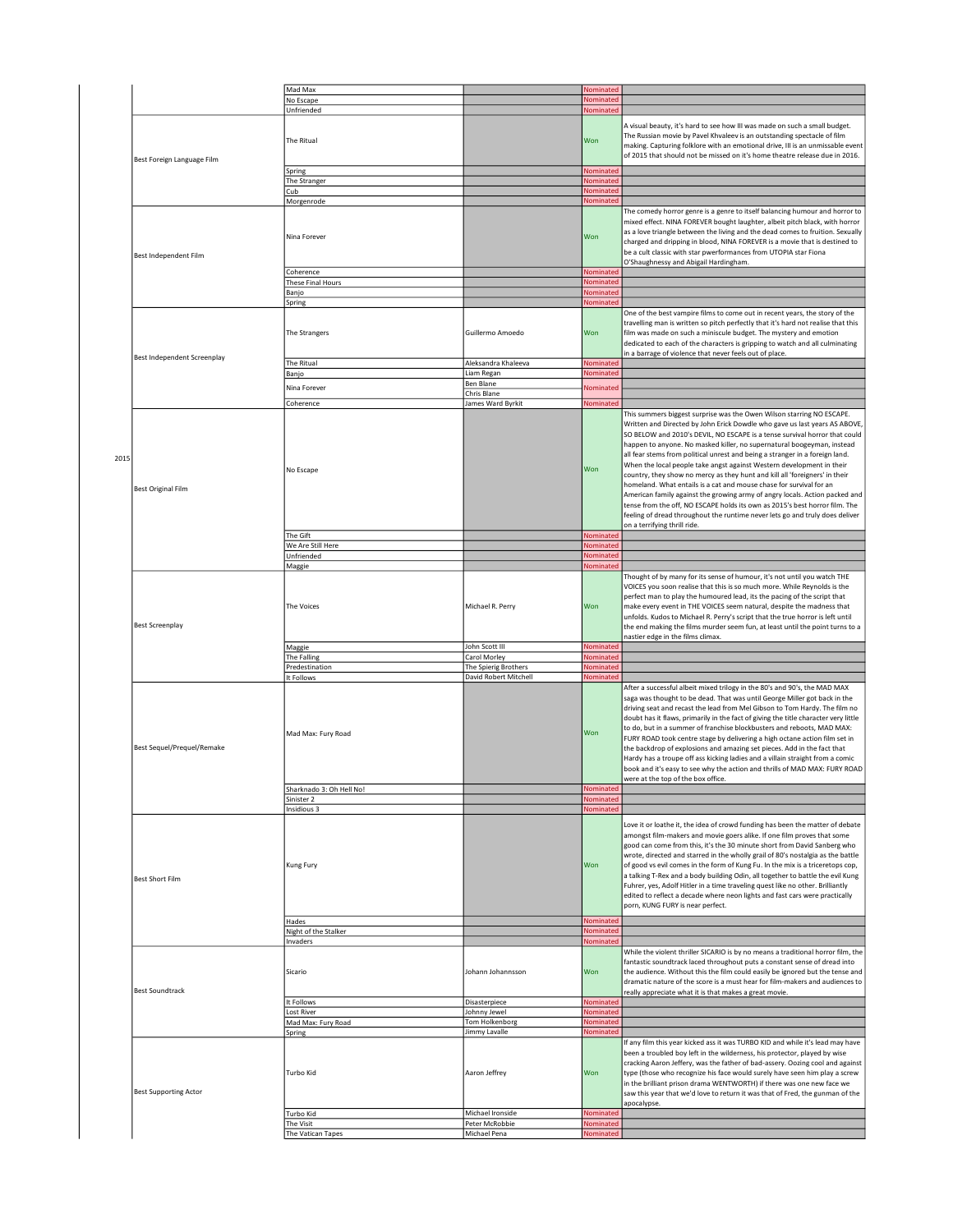|      |                              | Mad Max                                     |                                    | Nominated                           |                                                                                                                                                                                                                                                                                                                                                                                                                                                                                                                                                                                                                                                                                                                                                                                          |
|------|------------------------------|---------------------------------------------|------------------------------------|-------------------------------------|------------------------------------------------------------------------------------------------------------------------------------------------------------------------------------------------------------------------------------------------------------------------------------------------------------------------------------------------------------------------------------------------------------------------------------------------------------------------------------------------------------------------------------------------------------------------------------------------------------------------------------------------------------------------------------------------------------------------------------------------------------------------------------------|
|      |                              |                                             |                                    |                                     |                                                                                                                                                                                                                                                                                                                                                                                                                                                                                                                                                                                                                                                                                                                                                                                          |
|      |                              | No Escape                                   |                                    | Nominated                           |                                                                                                                                                                                                                                                                                                                                                                                                                                                                                                                                                                                                                                                                                                                                                                                          |
|      |                              | Unfriended                                  |                                    | Nominated                           |                                                                                                                                                                                                                                                                                                                                                                                                                                                                                                                                                                                                                                                                                                                                                                                          |
|      | Best Foreign Language Film   | The Ritual                                  |                                    | Won                                 | A visual beauty, it's hard to see how III was made on such a small budget.<br>The Russian movie by Pavel Khvaleev is an outstanding spectacle of film<br>making. Capturing folklore with an emotional drive, III is an unmissable event<br>of 2015 that should not be missed on it's home theatre release due in 2016.                                                                                                                                                                                                                                                                                                                                                                                                                                                                   |
|      |                              | Spring                                      |                                    | Nominated                           |                                                                                                                                                                                                                                                                                                                                                                                                                                                                                                                                                                                                                                                                                                                                                                                          |
|      |                              |                                             |                                    | Nominated                           |                                                                                                                                                                                                                                                                                                                                                                                                                                                                                                                                                                                                                                                                                                                                                                                          |
|      |                              | The Stranger                                |                                    |                                     |                                                                                                                                                                                                                                                                                                                                                                                                                                                                                                                                                                                                                                                                                                                                                                                          |
|      |                              | Cub                                         |                                    | Nominated                           |                                                                                                                                                                                                                                                                                                                                                                                                                                                                                                                                                                                                                                                                                                                                                                                          |
|      |                              | Morgenrode                                  |                                    | Nominated                           |                                                                                                                                                                                                                                                                                                                                                                                                                                                                                                                                                                                                                                                                                                                                                                                          |
|      | <b>Best Independent Film</b> | Nina Forever                                |                                    | Won                                 | The comedy horror genre is a genre to itself balancing humour and horror to<br>mixed effect. NINA FOREVER bought laughter, albeit pitch black, with horror<br>as a love triangle between the living and the dead comes to fruition. Sexually<br>charged and dripping in blood, NINA FOREVER is a movie that is destined to<br>be a cult classic with star pwerformances from UTOPIA star Fiona<br>O'Shaughnessy and Abigail Hardingham.                                                                                                                                                                                                                                                                                                                                                  |
|      |                              |                                             |                                    |                                     |                                                                                                                                                                                                                                                                                                                                                                                                                                                                                                                                                                                                                                                                                                                                                                                          |
|      |                              | Coherence                                   |                                    | Nominated                           |                                                                                                                                                                                                                                                                                                                                                                                                                                                                                                                                                                                                                                                                                                                                                                                          |
|      |                              | These Final Hours                           |                                    | Nominated                           |                                                                                                                                                                                                                                                                                                                                                                                                                                                                                                                                                                                                                                                                                                                                                                                          |
|      |                              | Banjo                                       |                                    | Nominated                           |                                                                                                                                                                                                                                                                                                                                                                                                                                                                                                                                                                                                                                                                                                                                                                                          |
|      |                              | <b>Spring</b>                               |                                    | Nominated                           |                                                                                                                                                                                                                                                                                                                                                                                                                                                                                                                                                                                                                                                                                                                                                                                          |
|      |                              | The Strangers                               | Guillermo Amoedo                   | Won                                 | One of the best vampire films to come out in recent years, the story of the<br>travelling man is written so pitch perfectly that it's hard not realise that this<br>film was made on such a miniscule budget. The mystery and emotion<br>dedicated to each of the characters is gripping to watch and all culminating                                                                                                                                                                                                                                                                                                                                                                                                                                                                    |
|      | Best Independent Screenplay  |                                             |                                    |                                     | in a barrage of violence that never feels out of place.                                                                                                                                                                                                                                                                                                                                                                                                                                                                                                                                                                                                                                                                                                                                  |
|      |                              | The Ritual                                  | Aleksandra Khaleeva                | Nominated                           |                                                                                                                                                                                                                                                                                                                                                                                                                                                                                                                                                                                                                                                                                                                                                                                          |
|      |                              | Banjo                                       | Liam Regan                         | Nominated                           |                                                                                                                                                                                                                                                                                                                                                                                                                                                                                                                                                                                                                                                                                                                                                                                          |
|      |                              |                                             | Ben Blane                          |                                     |                                                                                                                                                                                                                                                                                                                                                                                                                                                                                                                                                                                                                                                                                                                                                                                          |
|      |                              | Nina Forever                                |                                    | Nominated                           |                                                                                                                                                                                                                                                                                                                                                                                                                                                                                                                                                                                                                                                                                                                                                                                          |
|      |                              |                                             | Chris Blane                        |                                     |                                                                                                                                                                                                                                                                                                                                                                                                                                                                                                                                                                                                                                                                                                                                                                                          |
|      |                              | Coherence                                   | James Ward Byrkit                  | Nominated                           |                                                                                                                                                                                                                                                                                                                                                                                                                                                                                                                                                                                                                                                                                                                                                                                          |
| 2015 | <b>Best Original Film</b>    | No Escape                                   |                                    | Won                                 | This summers biggest surprise was the Owen Wilson starring NO ESCAPE.<br>Written and Directed by John Erick Dowdle who gave us last years AS ABOVE,<br>SO BELOW and 2010's DEVIL, NO ESCAPE is a tense survival horror that could<br>happen to anyone. No masked killer, no supernatural boogeyman, instead<br>all fear stems from political unrest and being a stranger in a foreign land.<br>When the local people take angst against Western development in their<br>country, they show no mercy as they hunt and kill all 'foreigners' in their<br>homeland. What entails is a cat and mouse chase for survival for an<br>American family against the growing army of angry locals. Action packed and<br>tense from the off, NO ESCAPE holds its own as 2015's best horror film. The |
|      |                              | The Gift<br>We Are Still Here<br>Unfriended |                                    | Nominated<br>Nominated<br>Nominated | feeling of dread throughout the runtime never lets go and truly does deliver<br>on a terrifying thrill ride.                                                                                                                                                                                                                                                                                                                                                                                                                                                                                                                                                                                                                                                                             |
|      |                              |                                             |                                    |                                     |                                                                                                                                                                                                                                                                                                                                                                                                                                                                                                                                                                                                                                                                                                                                                                                          |
|      |                              | Maggie                                      |                                    | Nominated                           |                                                                                                                                                                                                                                                                                                                                                                                                                                                                                                                                                                                                                                                                                                                                                                                          |
|      | <b>Best Screenplay</b>       | The Voices<br>Maggie                        | Michael R. Perry<br>John Scott III | Won<br>Nominated                    | Thought of by many for its sense of humour, it's not until you watch THE<br>VOICES you soon realise that this is so much more. While Reynolds is the<br>perfect man to play the humoured lead, its the pacing of the script that<br>make every event in THE VOICES seem natural, despite the madness that<br>unfolds. Kudos to Michael R. Perry's script that the true horror is left until<br>the end making the films murder seem fun, at least until the point turns to a<br>nastier edge in the films climax.                                                                                                                                                                                                                                                                        |
|      |                              | The Falling                                 | Carol Morley                       | Nominated                           |                                                                                                                                                                                                                                                                                                                                                                                                                                                                                                                                                                                                                                                                                                                                                                                          |
|      |                              |                                             |                                    |                                     |                                                                                                                                                                                                                                                                                                                                                                                                                                                                                                                                                                                                                                                                                                                                                                                          |
|      |                              | Predestination                              | The Spierig Brothers               | Nominated                           |                                                                                                                                                                                                                                                                                                                                                                                                                                                                                                                                                                                                                                                                                                                                                                                          |
|      |                              | It Follows                                  | David Robert Mitchell              | Nominated                           |                                                                                                                                                                                                                                                                                                                                                                                                                                                                                                                                                                                                                                                                                                                                                                                          |
|      | Best Sequel/Prequel/Remake   | Mad Max: Fury Road                          |                                    | Won                                 | After a successful albeit mixed trilogy in the 80's and 90's, the MAD MAX<br>saga was thought to be dead. That was until George Miller got back in the<br>driving seat and recast the lead from Mel Gibson to Tom Hardy. The film no<br>doubt has it flaws, primarily in the fact of giving the title character very little<br>to do, but in a summer of franchise blockbusters and reboots, MAD MAX:<br>FURY ROAD took centre stage by delivering a high octane action film set in<br>the backdrop of explosions and amazing set pieces. Add in the fact that<br>Hardy has a troupe off ass kicking ladies and a villain straight from a comic<br>book and it's easy to see why the action and thrills of MAD MAX: FURY ROAD<br>were at the top of the box office.                      |
|      |                              | Sharknado 3: Oh Hell No!                    |                                    | Nominated                           |                                                                                                                                                                                                                                                                                                                                                                                                                                                                                                                                                                                                                                                                                                                                                                                          |
|      |                              | Sinister 2                                  |                                    | Nominated                           |                                                                                                                                                                                                                                                                                                                                                                                                                                                                                                                                                                                                                                                                                                                                                                                          |
|      |                              | Insidious 3                                 |                                    | Nominated                           |                                                                                                                                                                                                                                                                                                                                                                                                                                                                                                                                                                                                                                                                                                                                                                                          |
|      | <b>Best Short Film</b>       | Kung Fury                                   |                                    | Won                                 | Love it or loathe it, the idea of crowd funding has been the matter of debate<br>amongst film-makers and movie goers alike. If one film proves that some<br>good can come from this, it's the 30 minute short from David Sanberg who<br>wrote, directed and starred in the wholly grail of 80's nostalgia as the battle<br>of good vs evil comes in the form of Kung Fu. In the mix is a triceretops cop,<br>a talking T-Rex and a body building Odin, all together to battle the evil Kung<br>Fuhrer, yes, Adolf Hitler in a time traveling quest like no other. Brilliantly<br>edited to reflect a decade where neon lights and fast cars were practically<br>porn, KUNG FURY is near perfect.                                                                                         |
|      |                              | Hades                                       |                                    | Nominated                           |                                                                                                                                                                                                                                                                                                                                                                                                                                                                                                                                                                                                                                                                                                                                                                                          |
|      |                              | Night of the Stalker                        |                                    | Nominated                           |                                                                                                                                                                                                                                                                                                                                                                                                                                                                                                                                                                                                                                                                                                                                                                                          |
|      |                              | Invaders                                    |                                    | Nominated                           |                                                                                                                                                                                                                                                                                                                                                                                                                                                                                                                                                                                                                                                                                                                                                                                          |
|      | <b>Best Soundtrack</b>       | Sicario                                     | Johann Johannsson                  | Won                                 | While the violent thriller SICARIO is by no means a traditional horror film, the<br>fantastic soundtrack laced throughout puts a constant sense of dread into<br>the audience. Without this the film could easily be ignored but the tense and<br>dramatic nature of the score is a must hear for film-makers and audiences to<br>really appreciate what it is that makes a great movie.                                                                                                                                                                                                                                                                                                                                                                                                 |
|      |                              | It Follows                                  | Disasterpiece                      | Nominated                           |                                                                                                                                                                                                                                                                                                                                                                                                                                                                                                                                                                                                                                                                                                                                                                                          |
|      |                              |                                             |                                    |                                     |                                                                                                                                                                                                                                                                                                                                                                                                                                                                                                                                                                                                                                                                                                                                                                                          |
|      |                              | Lost River                                  | Johnny Jewel                       | Nominated                           |                                                                                                                                                                                                                                                                                                                                                                                                                                                                                                                                                                                                                                                                                                                                                                                          |
|      |                              | Mad Max: Fury Road                          | Tom Holkenborg                     | Nominated                           |                                                                                                                                                                                                                                                                                                                                                                                                                                                                                                                                                                                                                                                                                                                                                                                          |
|      |                              | ipring                                      | Jimmy Lavalle                      | Nominated                           |                                                                                                                                                                                                                                                                                                                                                                                                                                                                                                                                                                                                                                                                                                                                                                                          |
|      | <b>Best Supporting Actor</b> | Turbo Kid                                   | Aaron Jeffrey                      | Won                                 | If any film this year kicked ass it was TURBO KID and while it's lead may have<br>been a troubled boy left in the wilderness, his protector, played by wise<br>cracking Aaron Jeffery, was the father of bad-assery. Oozing cool and against<br>type (those who recognize his face would surely have seen him play a screw<br>in the brilliant prison drama WENTWORTH) if there was one new face we<br>saw this year that we'd love to return it was that of Fred, the gunman of the<br>apocalypse.                                                                                                                                                                                                                                                                                      |
|      |                              |                                             | Michael Ironside                   |                                     |                                                                                                                                                                                                                                                                                                                                                                                                                                                                                                                                                                                                                                                                                                                                                                                          |
|      |                              | Turbo Kid                                   |                                    | Nominated                           |                                                                                                                                                                                                                                                                                                                                                                                                                                                                                                                                                                                                                                                                                                                                                                                          |
|      |                              | The Visit                                   | Peter McRobbie                     | Nominated                           |                                                                                                                                                                                                                                                                                                                                                                                                                                                                                                                                                                                                                                                                                                                                                                                          |
|      |                              | The Vatican Tapes                           | Michael Pena                       | Nominated                           |                                                                                                                                                                                                                                                                                                                                                                                                                                                                                                                                                                                                                                                                                                                                                                                          |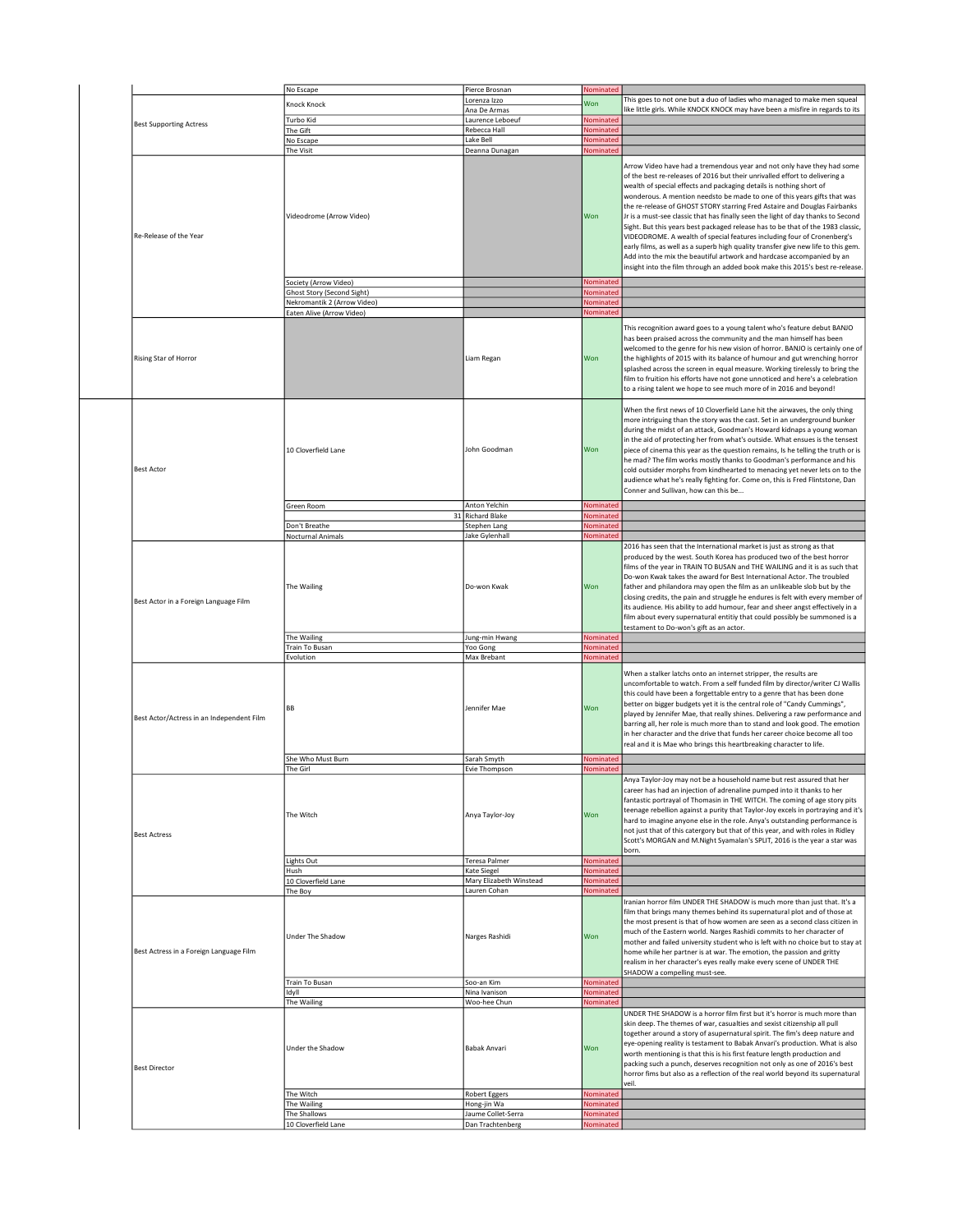|                                           | No Escape                           | Pierce Brosnan                                           | Nominated                     |                                                                                                                                                                                                                                                                                                                                                                                                                                                                                                                                                                                                                                                                                                                                                                                                                                                                                        |
|-------------------------------------------|-------------------------------------|----------------------------------------------------------|-------------------------------|----------------------------------------------------------------------------------------------------------------------------------------------------------------------------------------------------------------------------------------------------------------------------------------------------------------------------------------------------------------------------------------------------------------------------------------------------------------------------------------------------------------------------------------------------------------------------------------------------------------------------------------------------------------------------------------------------------------------------------------------------------------------------------------------------------------------------------------------------------------------------------------|
|                                           | Knock Knock                         | Lorenza Izzo                                             | Won                           | This goes to not one but a duo of ladies who managed to make men squeal                                                                                                                                                                                                                                                                                                                                                                                                                                                                                                                                                                                                                                                                                                                                                                                                                |
|                                           |                                     | Ana De Armas                                             |                               | like little girls. While KNOCK KNOCK may have been a misfire in regards to its                                                                                                                                                                                                                                                                                                                                                                                                                                                                                                                                                                                                                                                                                                                                                                                                         |
| <b>Best Supporting Actress</b>            | Turbo Kid                           | Laurence Leboeuf                                         | Nominated                     |                                                                                                                                                                                                                                                                                                                                                                                                                                                                                                                                                                                                                                                                                                                                                                                                                                                                                        |
|                                           | The Gift                            | Rebecca Hall                                             | Nominated                     |                                                                                                                                                                                                                                                                                                                                                                                                                                                                                                                                                                                                                                                                                                                                                                                                                                                                                        |
|                                           | No Escape                           | Lake Bell                                                | Nominated                     |                                                                                                                                                                                                                                                                                                                                                                                                                                                                                                                                                                                                                                                                                                                                                                                                                                                                                        |
|                                           | The Visit                           | Deanna Dunagan                                           | Nominated                     |                                                                                                                                                                                                                                                                                                                                                                                                                                                                                                                                                                                                                                                                                                                                                                                                                                                                                        |
| Re-Release of the Year                    | Videodrome (Arrow Video)            |                                                          | Won                           | Arrow Video have had a tremendous year and not only have they had some<br>of the best re-releases of 2016 but their unrivalled effort to delivering a<br>wealth of special effects and packaging details is nothing short of<br>wonderous. A mention needsto be made to one of this years gifts that was<br>the re-release of GHOST STORY starring Fred Astaire and Douglas Fairbanks<br>Jr is a must-see classic that has finally seen the light of day thanks to Second<br>Sight. But this years best packaged release has to be that of the 1983 classic,<br>VIDEODROME. A wealth of special features including four of Cronenberg's<br>early films, as well as a superb high quality transfer give new life to this gem.<br>Add into the mix the beautiful artwork and hardcase accompanied by an<br>insight into the film through an added book make this 2015's best re-release. |
|                                           | Society (Arrow Video)               |                                                          | Nominated                     |                                                                                                                                                                                                                                                                                                                                                                                                                                                                                                                                                                                                                                                                                                                                                                                                                                                                                        |
|                                           | Ghost Story (Second Sight)          |                                                          | Nominated                     |                                                                                                                                                                                                                                                                                                                                                                                                                                                                                                                                                                                                                                                                                                                                                                                                                                                                                        |
|                                           | Nekromantik 2 (Arrow Video)         |                                                          | Nominated                     |                                                                                                                                                                                                                                                                                                                                                                                                                                                                                                                                                                                                                                                                                                                                                                                                                                                                                        |
|                                           | Eaten Alive (Arrow Video)           |                                                          | Nominated                     |                                                                                                                                                                                                                                                                                                                                                                                                                                                                                                                                                                                                                                                                                                                                                                                                                                                                                        |
| Rising Star of Horror                     |                                     | Liam Regan                                               | Won                           | This recognition award goes to a young talent who's feature debut BANJO<br>has been praised across the community and the man himself has been<br>welcomed to the genre for his new vision of horror. BANJO is certainly one of<br>the highlights of 2015 with its balance of humour and gut wrenching horror<br>splashed across the screen in equal measure. Working tirelessly to bring the<br>film to fruition his efforts have not gone unnoticed and here's a celebration<br>to a rising talent we hope to see much more of in 2016 and beyond!                                                                                                                                                                                                                                                                                                                                    |
| <b>Best Actor</b>                         | 10 Cloverfield Lane                 | John Goodman                                             | Won                           | When the first news of 10 Cloverfield Lane hit the airwaves, the only thing<br>more intriguing than the story was the cast. Set in an underground bunker<br>during the midst of an attack, Goodman's Howard kidnaps a young woman<br>in the aid of protecting her from what's outside. What ensues is the tensest<br>piece of cinema this year as the question remains, Is he telling the truth or is<br>he mad? The film works mostly thanks to Goodman's performance and his<br>cold outsider morphs from kindhearted to menacing yet never lets on to the<br>audience what he's really fighting for. Come on, this is Fred Flintstone, Dan<br>Conner and Sullivan, how can this be                                                                                                                                                                                                  |
|                                           | Green Room                          | Anton Yelchin                                            | Nominated                     |                                                                                                                                                                                                                                                                                                                                                                                                                                                                                                                                                                                                                                                                                                                                                                                                                                                                                        |
|                                           |                                     | 31 Richard Blake                                         | Nominated                     |                                                                                                                                                                                                                                                                                                                                                                                                                                                                                                                                                                                                                                                                                                                                                                                                                                                                                        |
|                                           | Don't Breathe                       | Stephen Lang                                             | Nominated                     |                                                                                                                                                                                                                                                                                                                                                                                                                                                                                                                                                                                                                                                                                                                                                                                                                                                                                        |
|                                           | Nocturnal Animals                   | Jake Gylenhall                                           | Nominated                     |                                                                                                                                                                                                                                                                                                                                                                                                                                                                                                                                                                                                                                                                                                                                                                                                                                                                                        |
| Best Actor in a Foreign Language Film     | The Wailing                         | Do-won Kwak                                              | Won                           | produced by the west. South Korea has produced two of the best horror<br>films of the year in TRAIN TO BUSAN and THE WAILING and it is as such that<br>Do-won Kwak takes the award for Best International Actor. The troubled<br>father and philandora may open the film as an unlikeable slob but by the<br>closing credits, the pain and struggle he endures is felt with every member of<br>its audience. His ability to add humour, fear and sheer angst effectively in a<br>film about every supernatural entitiy that could possibly be summoned is a<br>testament to Do-won's gift as an actor.                                                                                                                                                                                                                                                                                 |
|                                           | The Wailing                         | Jung-min Hwang                                           | Nominated                     |                                                                                                                                                                                                                                                                                                                                                                                                                                                                                                                                                                                                                                                                                                                                                                                                                                                                                        |
|                                           | Train To Busan                      | Yoo Gong                                                 | Nominated                     |                                                                                                                                                                                                                                                                                                                                                                                                                                                                                                                                                                                                                                                                                                                                                                                                                                                                                        |
| Best Actor/Actress in an Independent Film | Evolution<br>BB                     | Max Brebant<br>Jennifer Mae                              | Nominated<br>Won              | When a stalker latchs onto an internet stripper, the results are<br>uncomfortable to watch. From a self funded film by director/writer CJ Wallis<br>this could have been a forgettable entry to a genre that has been done<br>better on bigger budgets yet it is the central role of "Candy Cummings",<br>played by Jennifer Mae, that really shines. Delivering a raw performance and<br>barring all, her role is much more than to stand and look good. The emotion<br>in her character and the drive that funds her career choice become all too<br>real and it is Mae who brings this heartbreaking character to life.                                                                                                                                                                                                                                                             |
|                                           |                                     |                                                          |                               |                                                                                                                                                                                                                                                                                                                                                                                                                                                                                                                                                                                                                                                                                                                                                                                                                                                                                        |
|                                           | She Who Must Burn                   | Sarah Smyth                                              | Nominated                     |                                                                                                                                                                                                                                                                                                                                                                                                                                                                                                                                                                                                                                                                                                                                                                                                                                                                                        |
| <b>Best Actress</b>                       | The Girl<br>The Witch<br>Lights Out | Evie Thompson<br>Anya Taylor-Joy<br><b>Teresa Palmer</b> | Nominated<br>Won<br>Nominated | Anya Taylor-Joy may not be a household name but rest assured that her<br>career has had an injection of adrenaline pumped into it thanks to her<br>fantastic portrayal of Thomasin in THE WITCH. The coming of age story pits<br>teenage rebellion against a purity that Taylor-Joy excels in portraying and it's<br>hard to imagine anyone else in the role. Anya's outstanding performance is<br>not just that of this catergory but that of this year, and with roles in Ridley<br>Scott's MORGAN and M.Night Syamalan's SPLIT, 2016 is the year a star was<br>born.                                                                                                                                                                                                                                                                                                                |
|                                           | Hush                                | Kate Siegel                                              | Nominated                     |                                                                                                                                                                                                                                                                                                                                                                                                                                                                                                                                                                                                                                                                                                                                                                                                                                                                                        |
|                                           | 10 Cloverfield Lane                 | Mary Elizabeth Winstead                                  | Nominated                     |                                                                                                                                                                                                                                                                                                                                                                                                                                                                                                                                                                                                                                                                                                                                                                                                                                                                                        |
|                                           | The Boy                             | Lauren Cohan                                             | Nominated                     |                                                                                                                                                                                                                                                                                                                                                                                                                                                                                                                                                                                                                                                                                                                                                                                                                                                                                        |
| Best Actress in a Foreign Language Film   | Under The Shadow                    | Narges Rashidi                                           | Won                           | Iranian horror film UNDER THE SHADOW is much more than just that. It's a<br>film that brings many themes behind its supernatural plot and of those at<br>the most present is that of how women are seen as a second class citizen in<br>much of the Eastern world. Narges Rashidi commits to her character of<br>mother and failed university student who is left with no choice but to stay at<br>home while her partner is at war. The emotion, the passion and gritty<br>realism in her character's eyes really make every scene of UNDER THE<br>SHADOW a compelling must-see.                                                                                                                                                                                                                                                                                                      |
|                                           | Train To Busan                      | Soo-an Kim                                               | Nominated                     |                                                                                                                                                                                                                                                                                                                                                                                                                                                                                                                                                                                                                                                                                                                                                                                                                                                                                        |
|                                           | Idyll                               | Nina Ivanison                                            | Nominated                     |                                                                                                                                                                                                                                                                                                                                                                                                                                                                                                                                                                                                                                                                                                                                                                                                                                                                                        |
|                                           |                                     | Woo-hee Chun                                             | Nominated                     | UNDER THE SHADOW is a horror film first but it's horror is much more than                                                                                                                                                                                                                                                                                                                                                                                                                                                                                                                                                                                                                                                                                                                                                                                                              |
| <b>Best Director</b>                      | The Wailing<br>Under the Shadow     | Babak Anvari                                             | Won                           | skin deep. The themes of war, casualties and sexist citizenship all pull<br>together around a story of asupernatural spirit. The fim's deep nature and<br>eye-opening reality is testament to Babak Anvari's production. What is also<br>worth mentioning is that this is his first feature length production and<br>packing such a punch, deserves recognition not only as one of 2016's best<br>horror fims but also as a reflection of the real world beyond its supernatural<br>veil.                                                                                                                                                                                                                                                                                                                                                                                              |
|                                           | The Witch                           |                                                          | Nominated                     |                                                                                                                                                                                                                                                                                                                                                                                                                                                                                                                                                                                                                                                                                                                                                                                                                                                                                        |
|                                           | The Wailing                         | Robert Eggers<br>Hong-jin Wa                             | Nominated                     |                                                                                                                                                                                                                                                                                                                                                                                                                                                                                                                                                                                                                                                                                                                                                                                                                                                                                        |
|                                           | The Shallows                        | Jaume Collet-Serra                                       | Nominated                     |                                                                                                                                                                                                                                                                                                                                                                                                                                                                                                                                                                                                                                                                                                                                                                                                                                                                                        |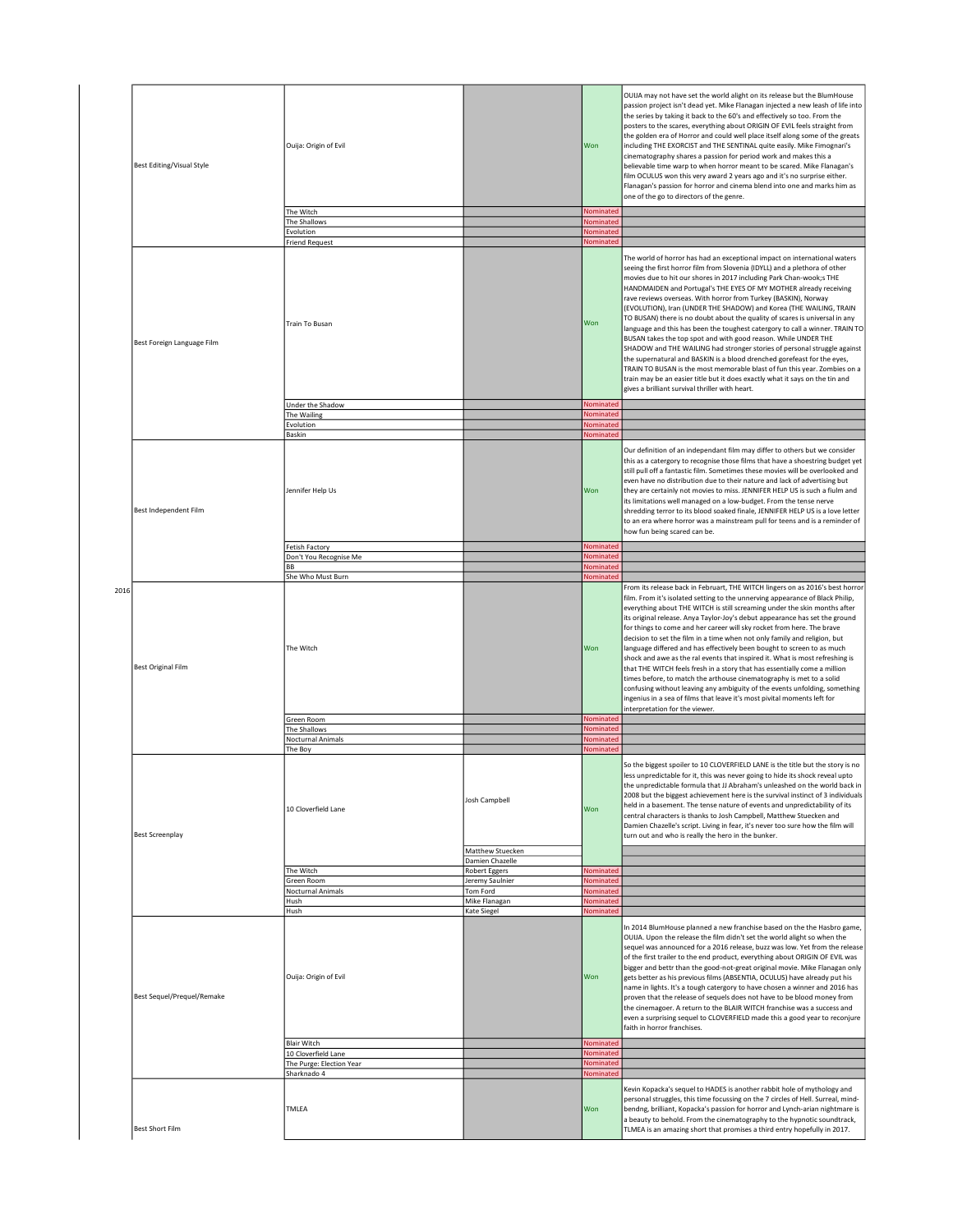|      |                            |                           |                                     |                        | OUIJA may not have set the world alight on its release but the BlumHouse<br>passion project isn't dead yet. Mike Flanagan injected a new leash of life into                                                                                                                                                                                                                                                                                                                                                                                                                                                                                                                                                                                                                                                                                                                                                                                                                                                                                          |
|------|----------------------------|---------------------------|-------------------------------------|------------------------|------------------------------------------------------------------------------------------------------------------------------------------------------------------------------------------------------------------------------------------------------------------------------------------------------------------------------------------------------------------------------------------------------------------------------------------------------------------------------------------------------------------------------------------------------------------------------------------------------------------------------------------------------------------------------------------------------------------------------------------------------------------------------------------------------------------------------------------------------------------------------------------------------------------------------------------------------------------------------------------------------------------------------------------------------|
|      | Best Editing/Visual Style  | Ouija: Origin of Evil     |                                     | Won                    | the series by taking it back to the 60's and effectively so too. From the<br>posters to the scares, everything about ORIGIN OF EVIL feels straight from<br>the golden era of Horror and could well place itself along some of the greats<br>including THE EXORCIST and THE SENTINAL quite easily. Mike Fimognari's<br>cinematography shares a passion for period work and makes this a<br>believable time warp to when horror meant to be scared. Mike Flanagan's                                                                                                                                                                                                                                                                                                                                                                                                                                                                                                                                                                                    |
|      |                            |                           |                                     |                        | film OCULUS won this very award 2 years ago and it's no surprise either.<br>Flanagan's passion for horror and cinema blend into one and marks him as<br>one of the go to directors of the genre.                                                                                                                                                                                                                                                                                                                                                                                                                                                                                                                                                                                                                                                                                                                                                                                                                                                     |
|      |                            | The Witch<br>The Shallows |                                     | Nominated<br>Nominated |                                                                                                                                                                                                                                                                                                                                                                                                                                                                                                                                                                                                                                                                                                                                                                                                                                                                                                                                                                                                                                                      |
|      |                            | Evolution                 |                                     | Nominated              |                                                                                                                                                                                                                                                                                                                                                                                                                                                                                                                                                                                                                                                                                                                                                                                                                                                                                                                                                                                                                                                      |
|      |                            | <b>Friend Request</b>     |                                     | Nominated              |                                                                                                                                                                                                                                                                                                                                                                                                                                                                                                                                                                                                                                                                                                                                                                                                                                                                                                                                                                                                                                                      |
|      | Best Foreign Language Film | <b>Train To Busan</b>     |                                     | Won                    | The world of horror has had an exceptional impact on international waters<br>seeing the first horror film from Slovenia (IDYLL) and a plethora of other<br>movies due to hit our shores in 2017 including Park Chan-wook;s THE<br>HANDMAIDEN and Portugal's THE EYES OF MY MOTHER already receiving<br>rave reviews overseas. With horror from Turkey (BASKIN), Norway<br>(EVOLUTION), Iran (UNDER THE SHADOW) and Korea (THE WAILING, TRAIN<br>TO BUSAN) there is no doubt about the quality of scares is universal in any<br>language and this has been the toughest catergory to call a winner. TRAIN TO<br>BUSAN takes the top spot and with good reason. While UNDER THE<br>SHADOW and THE WAILING had stronger stories of personal struggle against<br>the supernatural and BASKIN is a blood drenched gorefeast for the eyes,<br>TRAIN TO BUSAN is the most memorable blast of fun this year. Zombies on a<br>train may be an easier title but it does exactly what it says on the tin and<br>gives a brilliant survival thriller with heart. |
|      |                            | Under the Shadow          |                                     | Nominated              |                                                                                                                                                                                                                                                                                                                                                                                                                                                                                                                                                                                                                                                                                                                                                                                                                                                                                                                                                                                                                                                      |
|      |                            | The Wailing               |                                     | Nominated              |                                                                                                                                                                                                                                                                                                                                                                                                                                                                                                                                                                                                                                                                                                                                                                                                                                                                                                                                                                                                                                                      |
|      |                            | Evolution                 |                                     | Nominated              |                                                                                                                                                                                                                                                                                                                                                                                                                                                                                                                                                                                                                                                                                                                                                                                                                                                                                                                                                                                                                                                      |
|      |                            | Baskin                    |                                     | Nominated              |                                                                                                                                                                                                                                                                                                                                                                                                                                                                                                                                                                                                                                                                                                                                                                                                                                                                                                                                                                                                                                                      |
|      | Best Independent Film      | Jennifer Help Us          |                                     | Won                    | Our definition of an independant film may differ to others but we consider<br>this as a catergory to recognise those films that have a shoestring budget yet<br>still pull off a fantastic film. Sometimes these movies will be overlooked and<br>even have no distribution due to their nature and lack of advertising but<br>they are certainly not movies to miss. JENNIFER HELP US is such a fiulm and<br>its limitations well managed on a low-budget. From the tense nerve<br>shredding terror to its blood soaked finale, JENNIFER HELP US is a love letter<br>to an era where horror was a mainstream pull for teens and is a reminder of<br>how fun being scared can be.                                                                                                                                                                                                                                                                                                                                                                    |
|      |                            | Fetish Factory            |                                     | Nominated              |                                                                                                                                                                                                                                                                                                                                                                                                                                                                                                                                                                                                                                                                                                                                                                                                                                                                                                                                                                                                                                                      |
|      |                            | Don't You Recognise Me    |                                     | Nominated              |                                                                                                                                                                                                                                                                                                                                                                                                                                                                                                                                                                                                                                                                                                                                                                                                                                                                                                                                                                                                                                                      |
|      |                            | BB                        |                                     | Nominated              |                                                                                                                                                                                                                                                                                                                                                                                                                                                                                                                                                                                                                                                                                                                                                                                                                                                                                                                                                                                                                                                      |
|      |                            | She Who Must Burn         |                                     | Nominated              |                                                                                                                                                                                                                                                                                                                                                                                                                                                                                                                                                                                                                                                                                                                                                                                                                                                                                                                                                                                                                                                      |
| 2016 |                            |                           |                                     |                        | From its release back in Februart, THE WITCH lingers on as 2016's best horror<br>film. From it's isolated setting to the unnerving appearance of Black Philip,                                                                                                                                                                                                                                                                                                                                                                                                                                                                                                                                                                                                                                                                                                                                                                                                                                                                                       |
|      | <b>Best Original Film</b>  | The Witch<br>Green Room   |                                     | Won<br>Nominated       | everything about THE WITCH is still screaming under the skin months after<br>its original release. Anya Taylor-Joy's debut appearance has set the ground<br>for things to come and her career will sky rocket from here. The brave<br>decision to set the film in a time when not only family and religion, but<br>language differed and has effectively been bought to screen to as much<br>shock and awe as the ral events that inspired it. What is most refreshing is<br>that THE WITCH feels fresh in a story that has essentially come a million<br>times before, to match the arthouse cinematography is met to a solid<br>confusing without leaving any ambiguity of the events unfolding, something<br>ingenius in a sea of films that leave it's most pivital moments left for<br>interpretation for the viewer.                                                                                                                                                                                                                           |
|      |                            | The Shallows              |                                     | Nominated              |                                                                                                                                                                                                                                                                                                                                                                                                                                                                                                                                                                                                                                                                                                                                                                                                                                                                                                                                                                                                                                                      |
|      |                            | Nocturnal Animals         |                                     | Nominated              |                                                                                                                                                                                                                                                                                                                                                                                                                                                                                                                                                                                                                                                                                                                                                                                                                                                                                                                                                                                                                                                      |
|      |                            |                           |                                     | Nominated              |                                                                                                                                                                                                                                                                                                                                                                                                                                                                                                                                                                                                                                                                                                                                                                                                                                                                                                                                                                                                                                                      |
|      |                            | The Boy                   |                                     |                        | So the biggest spoiler to 10 CLOVERFIELD LANE is the title but the story is no<br>less unpredictable for it, this was never going to hide its shock reveal upto<br>the unpredictable formula that JJ Abraham's unleashed on the world back in                                                                                                                                                                                                                                                                                                                                                                                                                                                                                                                                                                                                                                                                                                                                                                                                        |
|      | <b>Best Screenplay</b>     | 10 Cloverfield Lane       | Josh Campbell                       | Won                    | 2008 but the biggest achievement here is the survival instinct of 3 individuals<br>held in a basement. The tense nature of events and unpredictability of its<br>central characters is thanks to Josh Campbell, Matthew Stuecken and<br>Damien Chazelle's script. Living in fear, it's never too sure how the film will<br>turn out and who is really the hero in the bunker.                                                                                                                                                                                                                                                                                                                                                                                                                                                                                                                                                                                                                                                                        |
|      |                            |                           | Matthew Stuecken<br>Damien Chazelle |                        |                                                                                                                                                                                                                                                                                                                                                                                                                                                                                                                                                                                                                                                                                                                                                                                                                                                                                                                                                                                                                                                      |
|      |                            | The Witch                 | Robert Eggers                       | Nominated              |                                                                                                                                                                                                                                                                                                                                                                                                                                                                                                                                                                                                                                                                                                                                                                                                                                                                                                                                                                                                                                                      |
|      |                            | Green Room                | Jeremy Saulnier                     | Nominated              |                                                                                                                                                                                                                                                                                                                                                                                                                                                                                                                                                                                                                                                                                                                                                                                                                                                                                                                                                                                                                                                      |
|      |                            | Nocturnal Animals         | Tom Ford                            | Nominated              |                                                                                                                                                                                                                                                                                                                                                                                                                                                                                                                                                                                                                                                                                                                                                                                                                                                                                                                                                                                                                                                      |
|      |                            | Hush                      | Mike Flanagan                       | Nominated              |                                                                                                                                                                                                                                                                                                                                                                                                                                                                                                                                                                                                                                                                                                                                                                                                                                                                                                                                                                                                                                                      |
|      |                            | Hush                      | Kate Siegel                         | Nominated              |                                                                                                                                                                                                                                                                                                                                                                                                                                                                                                                                                                                                                                                                                                                                                                                                                                                                                                                                                                                                                                                      |
|      | Best Sequel/Prequel/Remake | Ouija: Origin of Evil     |                                     | Won                    | In 2014 BlumHouse planned a new franchise based on the the Hasbro game,<br>OUIJA. Upon the release the film didn't set the world alight so when the<br>sequel was announced for a 2016 release, buzz was low. Yet from the release<br>of the first trailer to the end product, everything about ORIGIN OF EVIL was<br>bigger and bettr than the good-not-great original movie. Mike Flanagan only<br>gets better as his previous films (ABSENTIA, OCULUS) have already put his<br>name in lights. It's a tough catergory to have chosen a winner and 2016 has<br>proven that the release of sequels does not have to be blood money from<br>the cinemagoer. A return to the BLAIR WITCH franchise was a success and<br>even a surprising sequel to CLOVERFIELD made this a good year to reconjure<br>faith in horror franchises.                                                                                                                                                                                                                     |
|      |                            | <b>Blair Witch</b>        |                                     | Nominated              |                                                                                                                                                                                                                                                                                                                                                                                                                                                                                                                                                                                                                                                                                                                                                                                                                                                                                                                                                                                                                                                      |
|      |                            | 10 Cloverfield Lane       |                                     | Nominated              |                                                                                                                                                                                                                                                                                                                                                                                                                                                                                                                                                                                                                                                                                                                                                                                                                                                                                                                                                                                                                                                      |
|      |                            | The Purge: Election Year  |                                     | Nominated              |                                                                                                                                                                                                                                                                                                                                                                                                                                                                                                                                                                                                                                                                                                                                                                                                                                                                                                                                                                                                                                                      |
|      |                            | Sharknado 4               |                                     | Nominated              |                                                                                                                                                                                                                                                                                                                                                                                                                                                                                                                                                                                                                                                                                                                                                                                                                                                                                                                                                                                                                                                      |
|      | <b>Best Short Film</b>     | TMLEA                     |                                     | Won                    | Kevin Kopacka's sequel to HADES is another rabbit hole of mythology and<br>personal struggles, this time focussing on the 7 circles of Hell. Surreal, mind-<br>bendng, brilliant, Kopacka's passion for horror and Lynch-arian nightmare is<br>a beauty to behold. From the cinematography to the hypnotic soundtrack,<br>TLMEA is an amazing short that promises a third entry hopefully in 2017.                                                                                                                                                                                                                                                                                                                                                                                                                                                                                                                                                                                                                                                   |
|      |                            |                           |                                     |                        |                                                                                                                                                                                                                                                                                                                                                                                                                                                                                                                                                                                                                                                                                                                                                                                                                                                                                                                                                                                                                                                      |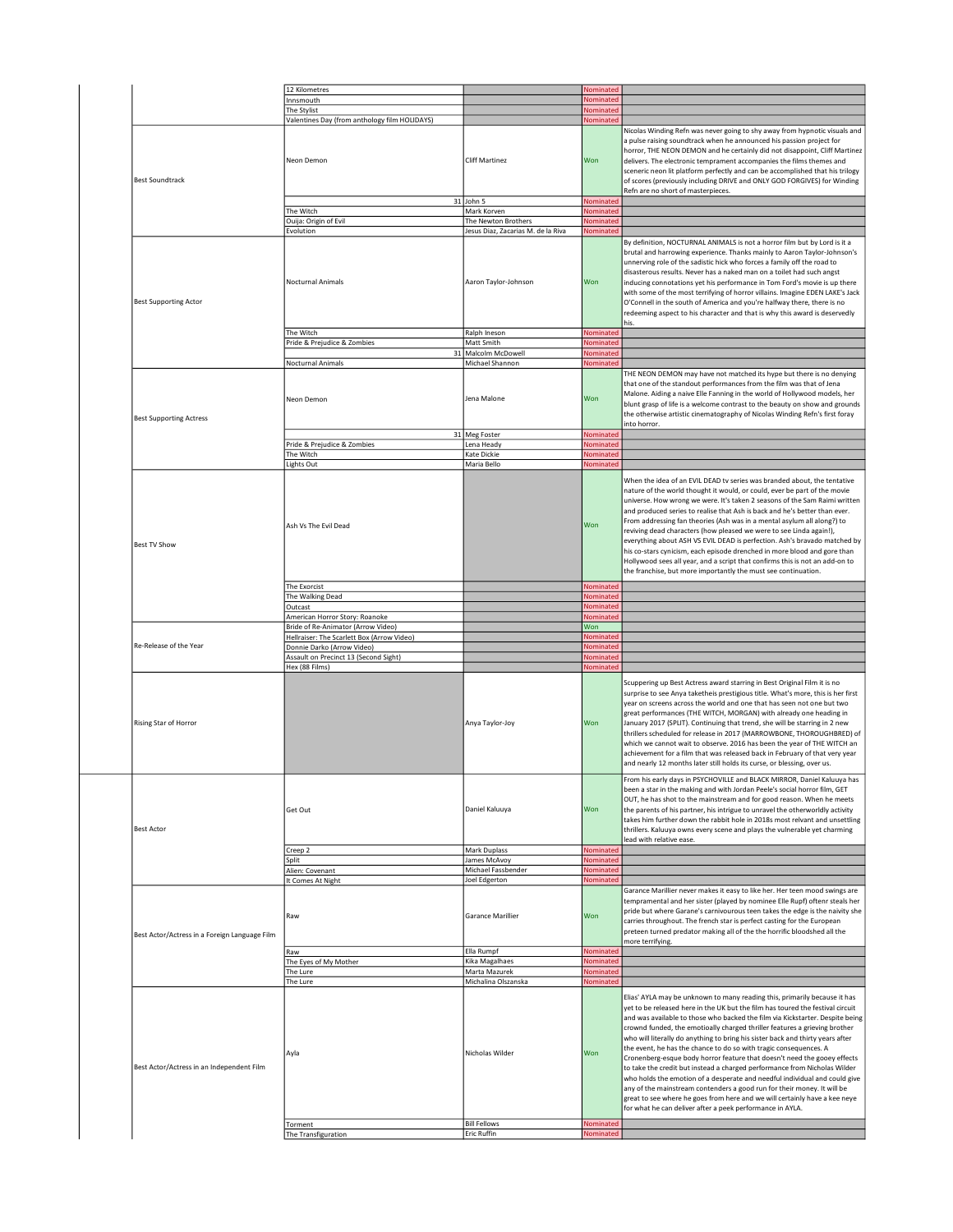|                                                                                             | 12 Kilometres                                 |                                        | Nominated              |                                                                                                                                                                                                                                                                                                                                                                                                                                                                                                                                                                                                                                                                                                                                                                                                                                                                                                                                                |
|---------------------------------------------------------------------------------------------|-----------------------------------------------|----------------------------------------|------------------------|------------------------------------------------------------------------------------------------------------------------------------------------------------------------------------------------------------------------------------------------------------------------------------------------------------------------------------------------------------------------------------------------------------------------------------------------------------------------------------------------------------------------------------------------------------------------------------------------------------------------------------------------------------------------------------------------------------------------------------------------------------------------------------------------------------------------------------------------------------------------------------------------------------------------------------------------|
|                                                                                             | Innsmouth                                     |                                        | Nominated              |                                                                                                                                                                                                                                                                                                                                                                                                                                                                                                                                                                                                                                                                                                                                                                                                                                                                                                                                                |
|                                                                                             | The Stylist                                   |                                        | Nominated              |                                                                                                                                                                                                                                                                                                                                                                                                                                                                                                                                                                                                                                                                                                                                                                                                                                                                                                                                                |
|                                                                                             | Valentines Day (from anthology film HOLIDAYS) |                                        | Nominated              |                                                                                                                                                                                                                                                                                                                                                                                                                                                                                                                                                                                                                                                                                                                                                                                                                                                                                                                                                |
| <b>Best Soundtrack</b>                                                                      | Neon Demon                                    | <b>Cliff Martinez</b>                  | Won                    | Nicolas Winding Refn was never going to shy away from hypnotic visuals and<br>a pulse raising soundtrack when he announced his passion project for<br>horror, THE NEON DEMON and he certainly did not disappoint, Cliff Martinez<br>delivers. The electronic temprament accompanies the films themes and<br>sceneric neon lit platform perfectly and can be accomplished that his trilogy<br>of scores (previously including DRIVE and ONLY GOD FORGIVES) for Winding<br>Refn are no short of masterpieces.                                                                                                                                                                                                                                                                                                                                                                                                                                    |
|                                                                                             |                                               | 31 John 5                              | Nominated              |                                                                                                                                                                                                                                                                                                                                                                                                                                                                                                                                                                                                                                                                                                                                                                                                                                                                                                                                                |
|                                                                                             | The Witch                                     | Mark Korven                            | Nominated              |                                                                                                                                                                                                                                                                                                                                                                                                                                                                                                                                                                                                                                                                                                                                                                                                                                                                                                                                                |
|                                                                                             | Ouija: Origin of Evil                         | The Newton Brothers                    | Nominated              |                                                                                                                                                                                                                                                                                                                                                                                                                                                                                                                                                                                                                                                                                                                                                                                                                                                                                                                                                |
|                                                                                             | Evolution                                     | Jesus Diaz, Zacarias M. de la Riva     | Nominated              |                                                                                                                                                                                                                                                                                                                                                                                                                                                                                                                                                                                                                                                                                                                                                                                                                                                                                                                                                |
| <b>Best Supporting Actor</b>                                                                | Nocturnal Animals                             | Aaron Taylor-Johnson                   | Won                    | By definition, NOCTURNAL ANIMALS is not a horror film but by Lord is it a<br>brutal and harrowing experience. Thanks mainly to Aaron Taylor-Johnson's<br>unnerving role of the sadistic hick who forces a family off the road to<br>disasterous results. Never has a naked man on a toilet had such angst<br>inducing connotations yet his performance in Tom Ford's movie is up there<br>with some of the most terrifying of horror villains. Imagine EDEN LAKE's Jack<br>O'Connell in the south of America and you're halfway there, there is no<br>redeeming aspect to his character and that is why this award is deservedly<br>his.                                                                                                                                                                                                                                                                                                       |
|                                                                                             | The Witch                                     | Ralph Ineson                           | Nominated              |                                                                                                                                                                                                                                                                                                                                                                                                                                                                                                                                                                                                                                                                                                                                                                                                                                                                                                                                                |
|                                                                                             | Pride & Prejudice & Zombies                   | Matt Smith                             | Nominated              |                                                                                                                                                                                                                                                                                                                                                                                                                                                                                                                                                                                                                                                                                                                                                                                                                                                                                                                                                |
|                                                                                             |                                               | 31 Malcolm McDowell                    | Nominated              |                                                                                                                                                                                                                                                                                                                                                                                                                                                                                                                                                                                                                                                                                                                                                                                                                                                                                                                                                |
|                                                                                             | Nocturnal Animals                             | Michael Shannon                        | Nominated              |                                                                                                                                                                                                                                                                                                                                                                                                                                                                                                                                                                                                                                                                                                                                                                                                                                                                                                                                                |
| <b>Best Supporting Actress</b>                                                              | Neon Demon                                    | Jena Malone                            | Won                    | THE NEON DEMON may have not matched its hype but there is no denying<br>that one of the standout performances from the film was that of Jena<br>Malone. Aiding a naive Elle Fanning in the world of Hollywood models, her<br>blunt grasp of life is a welcome contrast to the beauty on show and grounds<br>the otherwise artistic cinematography of Nicolas Winding Refn's first foray<br>into horror.                                                                                                                                                                                                                                                                                                                                                                                                                                                                                                                                        |
|                                                                                             |                                               | 31 Meg Foster                          | Nominated              |                                                                                                                                                                                                                                                                                                                                                                                                                                                                                                                                                                                                                                                                                                                                                                                                                                                                                                                                                |
|                                                                                             | Pride & Prejudice & Zombies                   | Lena Heady                             | Nominated              |                                                                                                                                                                                                                                                                                                                                                                                                                                                                                                                                                                                                                                                                                                                                                                                                                                                                                                                                                |
|                                                                                             | The Witch                                     | Kate Dickie                            | Nominated              |                                                                                                                                                                                                                                                                                                                                                                                                                                                                                                                                                                                                                                                                                                                                                                                                                                                                                                                                                |
|                                                                                             | <b>Lights Out</b>                             | Maria Bello                            | Nominated              |                                                                                                                                                                                                                                                                                                                                                                                                                                                                                                                                                                                                                                                                                                                                                                                                                                                                                                                                                |
| <b>Best TV Show</b>                                                                         | Ash Vs The Evil Dead                          |                                        | Won                    | When the idea of an EVIL DEAD tv series was branded about, the tentative<br>nature of the world thought it would, or could, ever be part of the movie<br>universe. How wrong we were. It's taken 2 seasons of the Sam Raimi written<br>and produced series to realise that Ash is back and he's better than ever.<br>From addressing fan theories (Ash was in a mental asylum all along?) to<br>reviving dead characters (how pleased we were to see Linda again!),<br>everything about ASH VS EVIL DEAD is perfection. Ash's bravado matched by<br>his co-stars cynicism, each episode drenched in more blood and gore than<br>Hollywood sees all year, and a script that confirms this is not an add-on to<br>the franchise, but more importantly the must see continuation.                                                                                                                                                                 |
|                                                                                             | The Exorcist                                  |                                        | Nominated              |                                                                                                                                                                                                                                                                                                                                                                                                                                                                                                                                                                                                                                                                                                                                                                                                                                                                                                                                                |
|                                                                                             |                                               |                                        |                        |                                                                                                                                                                                                                                                                                                                                                                                                                                                                                                                                                                                                                                                                                                                                                                                                                                                                                                                                                |
|                                                                                             | The Walking Dead                              |                                        | Nominated              |                                                                                                                                                                                                                                                                                                                                                                                                                                                                                                                                                                                                                                                                                                                                                                                                                                                                                                                                                |
|                                                                                             | Outcast                                       |                                        | Nominated              |                                                                                                                                                                                                                                                                                                                                                                                                                                                                                                                                                                                                                                                                                                                                                                                                                                                                                                                                                |
|                                                                                             |                                               |                                        | Nominated              |                                                                                                                                                                                                                                                                                                                                                                                                                                                                                                                                                                                                                                                                                                                                                                                                                                                                                                                                                |
|                                                                                             | American Horror Story: Roanoke                |                                        |                        |                                                                                                                                                                                                                                                                                                                                                                                                                                                                                                                                                                                                                                                                                                                                                                                                                                                                                                                                                |
|                                                                                             | Bride of Re-Animator (Arrow Video)            |                                        | Won                    |                                                                                                                                                                                                                                                                                                                                                                                                                                                                                                                                                                                                                                                                                                                                                                                                                                                                                                                                                |
| Re-Release of the Year                                                                      | Hellraiser: The Scarlett Box (Arrow Video)    |                                        | Nominated              |                                                                                                                                                                                                                                                                                                                                                                                                                                                                                                                                                                                                                                                                                                                                                                                                                                                                                                                                                |
|                                                                                             | Donnie Darko (Arrow Video)                    |                                        | Nominated              |                                                                                                                                                                                                                                                                                                                                                                                                                                                                                                                                                                                                                                                                                                                                                                                                                                                                                                                                                |
|                                                                                             | Assault on Precinct 13 (Second Sight)         |                                        | Nominated              |                                                                                                                                                                                                                                                                                                                                                                                                                                                                                                                                                                                                                                                                                                                                                                                                                                                                                                                                                |
|                                                                                             | Hex (88 Films)                                | Anya Taylor-Joy                        | Nominated<br>Won       | Scuppering up Best Actress award starring in Best Original Film it is no<br>surprise to see Anya taketheis prestigious title. What's more, this is her first<br>year on screens across the world and one that has seen not one but two<br>great performances (THE WITCH, MORGAN) with already one heading in<br>January 2017 (SPLIT). Continuing that trend, she will be starring in 2 new<br>thrillers scheduled for release in 2017 (MARROWBONE, THOROUGHBRED) of<br>which we cannot wait to observe. 2016 has been the year of THE WITCH an<br>achievement for a film that was released back in February of that very year<br>and nearly 12 months later still holds its curse, or blessing, over us.                                                                                                                                                                                                                                       |
|                                                                                             | Get Out                                       | Daniel Kaluuya                         | Won<br>Nominated       | rom his early days in PSYCHOVILLE and BLACK MIRROR, Daniel Kaluuya has<br>been a star in the making and with Jordan Peele's social horror film, GET<br>OUT, he has shot to the mainstream and for good reason. When he meets<br>the parents of his partner, his intrigue to unravel the otherworldly activity<br>takes him further down the rabbit hole in 2018s most relvant and unsettling<br>thrillers. Kaluuya owns every scene and plays the vulnerable yet charming<br>lead with relative ease.                                                                                                                                                                                                                                                                                                                                                                                                                                          |
|                                                                                             | Creep 2                                       | Mark Duplass                           |                        |                                                                                                                                                                                                                                                                                                                                                                                                                                                                                                                                                                                                                                                                                                                                                                                                                                                                                                                                                |
|                                                                                             | Split                                         | James McAvoy                           | Nominated              |                                                                                                                                                                                                                                                                                                                                                                                                                                                                                                                                                                                                                                                                                                                                                                                                                                                                                                                                                |
|                                                                                             | Alien: Covenant                               | Michael Fassbender                     | Nominated<br>Nominated |                                                                                                                                                                                                                                                                                                                                                                                                                                                                                                                                                                                                                                                                                                                                                                                                                                                                                                                                                |
| Rising Star of Horror<br><b>Best Actor</b><br>Best Actor/Actress in a Foreign Language Film | It Comes At Night<br>Raw                      | Joel Edgerton<br>Garance Marillier     | Won                    | Garance Marillier never makes it easy to like her. Her teen mood swings are<br>tempramental and her sister (played by nominee Elle Rupf) oftenr steals her<br>pride but where Garane's carnivourous teen takes the edge is the naivity she<br>carries throughout. The french star is perfect casting for the European<br>preteen turned predator making all of the the horrific bloodshed all the<br>more terrifying.                                                                                                                                                                                                                                                                                                                                                                                                                                                                                                                          |
|                                                                                             | Raw                                           | Ella Rumpf                             | Nominated              |                                                                                                                                                                                                                                                                                                                                                                                                                                                                                                                                                                                                                                                                                                                                                                                                                                                                                                                                                |
|                                                                                             | The Eyes of My Mother                         | Kika Magalhaes                         | Nominated<br>Nominated |                                                                                                                                                                                                                                                                                                                                                                                                                                                                                                                                                                                                                                                                                                                                                                                                                                                                                                                                                |
|                                                                                             | The Lure                                      | Marta Mazurek                          |                        |                                                                                                                                                                                                                                                                                                                                                                                                                                                                                                                                                                                                                                                                                                                                                                                                                                                                                                                                                |
|                                                                                             | The Lure<br>Ayla                              | Michalina Olszanska<br>Nicholas Wilder | Nominated<br>Won       | Elias' AYLA may be unknown to many reading this, primarily because it has<br>yet to be released here in the UK but the film has toured the festival circuit<br>and was available to those who backed the film via Kickstarter. Despite being<br>crownd funded, the emotioally charged thriller features a grieving brother<br>who will literally do anything to bring his sister back and thirty years after<br>the event, he has the chance to do so with tragic consequences. A<br>Cronenberg-esque body horror feature that doesn't need the gooey effects<br>to take the credit but instead a charged performance from Nicholas Wilder<br>who holds the emotion of a desperate and needful individual and could give<br>any of the mainstream contenders a good run for their money. It will be<br>great to see where he goes from here and we will certainly have a kee neye<br>for what he can deliver after a peek performance in AYLA. |
| Best Actor/Actress in an Independent Film                                                   | Torment                                       | <b>Bill Fellows</b>                    | Nominated              |                                                                                                                                                                                                                                                                                                                                                                                                                                                                                                                                                                                                                                                                                                                                                                                                                                                                                                                                                |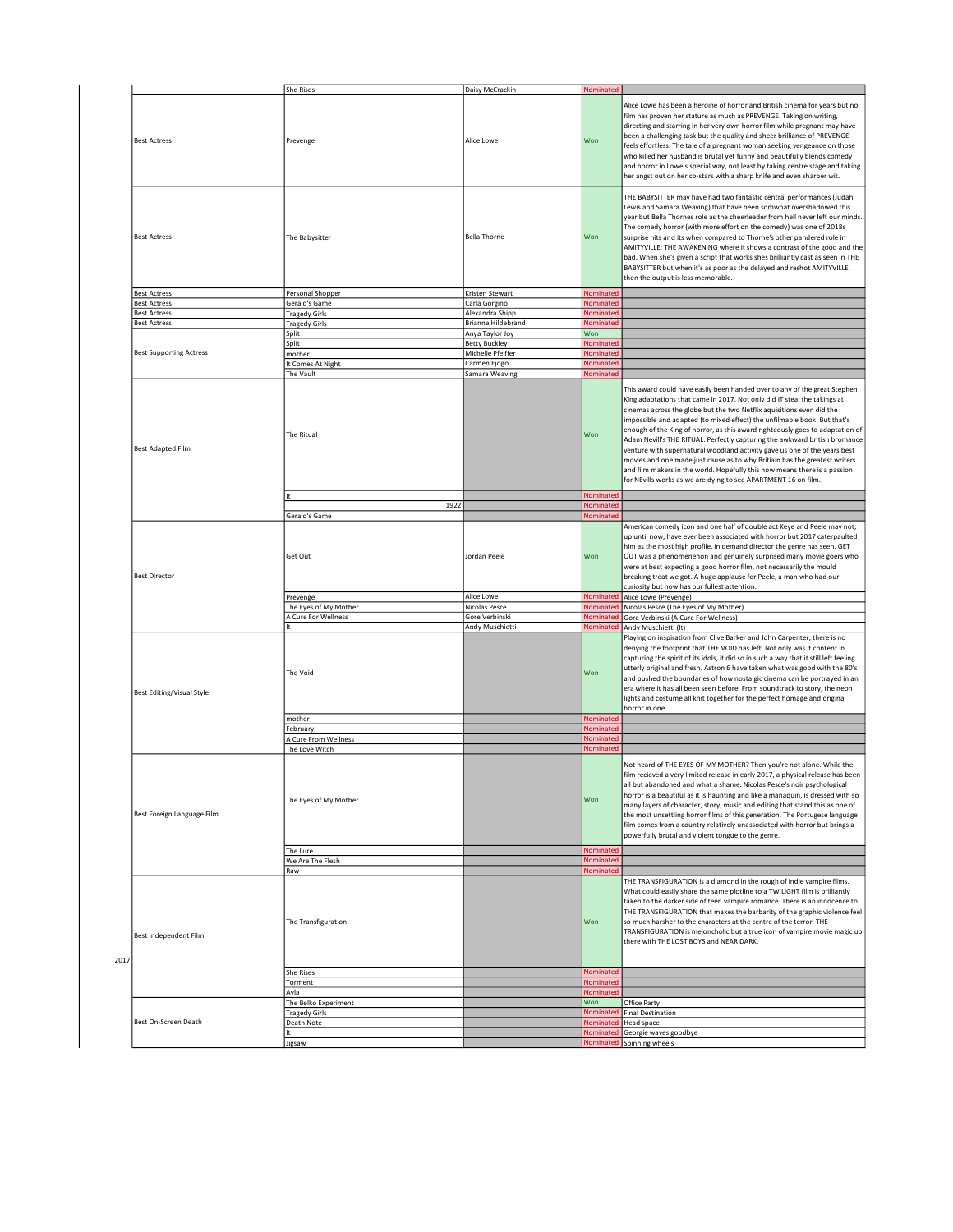|                                  | <b>She Rises</b>                               | Daisy McCrackin                         | Nominated              |                                                                                                                                                                                                                                                                                                                                                                                                                                                                                                                                                                                                                                                                                                                                                                                     |
|----------------------------------|------------------------------------------------|-----------------------------------------|------------------------|-------------------------------------------------------------------------------------------------------------------------------------------------------------------------------------------------------------------------------------------------------------------------------------------------------------------------------------------------------------------------------------------------------------------------------------------------------------------------------------------------------------------------------------------------------------------------------------------------------------------------------------------------------------------------------------------------------------------------------------------------------------------------------------|
| <b>Best Actress</b>              | Prevenge                                       | Alice Lowe                              | Won                    | Alice Lowe has been a heroine of horror and British cinema for years but no<br>film has proven her stature as much as PREVENGE. Taking on writing,<br>directing and starring in her very own horror film while pregnant may have<br>been a challenging task but the quality and sheer brilliance of PREVENGE<br>feels effortless. The tale of a pregnant woman seeking vengeance on those<br>who killed her husband is brutal yet funny and beautifully blends comedy<br>and horror in Lowe's special way, not least by taking centre stage and taking<br>her angst out on her co-stars with a sharp knife and even sharper wit.                                                                                                                                                    |
| <b>Best Actress</b>              | The Babysitter                                 | <b>Bella Thorne</b>                     | Won                    | THE BABYSITTER may have had two fantastic central performances (Judah<br>Lewis and Samara Weaving) that have been somwhat overshadowed this<br>year but Bella Thornes role as the cheerleader from hell never left our minds.<br>The comedy horror (with more effort on the comedy) was one of 2018s<br>surprise hits and its when compared to Thorne's other pandered role in<br>AMITYVILLE: THE AWAKENING where it shows a contrast of the good and the<br>bad. When she's given a script that works shes brilliantly cast as seen in THE<br>BABYSITTER but when it's as poor as the delayed and reshot AMITYVILLE<br>then the output is less memorable.                                                                                                                          |
| <b>Best Actress</b>              | Personal Shopper                               | Kristen Stewart                         | Nominated              |                                                                                                                                                                                                                                                                                                                                                                                                                                                                                                                                                                                                                                                                                                                                                                                     |
| <b>Best Actress</b>              | Gerald's Game                                  | Carla Gorgino                           | Nominated              |                                                                                                                                                                                                                                                                                                                                                                                                                                                                                                                                                                                                                                                                                                                                                                                     |
| <b>Best Actress</b>              | <b>Tragedy Girls</b>                           | Alexandra Shipp                         | Nominated              |                                                                                                                                                                                                                                                                                                                                                                                                                                                                                                                                                                                                                                                                                                                                                                                     |
| <b>Best Actress</b>              | <b>Tragedy Girls</b>                           | Brianna Hildebrand                      | Nominated              |                                                                                                                                                                                                                                                                                                                                                                                                                                                                                                                                                                                                                                                                                                                                                                                     |
|                                  | Split                                          | Anya Taylor Joy<br><b>Betty Buckley</b> | Won<br>Nominated       |                                                                                                                                                                                                                                                                                                                                                                                                                                                                                                                                                                                                                                                                                                                                                                                     |
| <b>Best Supporting Actress</b>   | Split<br>mother!                               | Michelle Pfeiffer                       | Nominated              |                                                                                                                                                                                                                                                                                                                                                                                                                                                                                                                                                                                                                                                                                                                                                                                     |
|                                  | It Comes At Night                              | Carmen Ejogo                            | Nominated              |                                                                                                                                                                                                                                                                                                                                                                                                                                                                                                                                                                                                                                                                                                                                                                                     |
|                                  | The Vault                                      | Samara Weaving                          | Nominated              |                                                                                                                                                                                                                                                                                                                                                                                                                                                                                                                                                                                                                                                                                                                                                                                     |
| <b>Best Adapted Film</b>         | The Ritual                                     |                                         | Won                    | This award could have easily been handed over to any of the great Stephen<br>King adaptations that came in 2017. Not only did IT steal the takings at<br>cinemas across the globe but the two Netflix aquisitions even did the<br>impossible and adapted (to mixed effect) the unfilmable book. But that's<br>enough of the King of horror, as this award righteously goes to adaptation of<br>Adam Nevill's THE RITUAL. Perfectly capturing the awkward british bromance<br>venture with supernatural woodland activity gave us one of the years best<br>movies and one made just cause as to why Britiain has the greatest writers<br>and film makers in the world. Hopefully this now means there is a passion<br>for NEvills works as we are dying to see APARTMENT 16 on film. |
|                                  |                                                |                                         | Nominated              |                                                                                                                                                                                                                                                                                                                                                                                                                                                                                                                                                                                                                                                                                                                                                                                     |
|                                  | 1922                                           |                                         | Nominated              |                                                                                                                                                                                                                                                                                                                                                                                                                                                                                                                                                                                                                                                                                                                                                                                     |
| <b>Best Director</b>             | Gerald's Game<br>Get Out                       | Jordan Peele                            | Nominated<br>Won       | American comedy icon and one half of double act Keye and Peele may not,<br>up until now, have ever been associated with horror but 2017 caterpaulted<br>him as the most high profile, in demand director the genre has seen. GET<br>OUT was a phenomenenon and genuinely surprised many movie goers who<br>were at best expecting a good horror film, not necessarily the mould<br>breaking treat we got. A huge applause for Peele, a man who had our<br>curiosity but now has our fullest attention.                                                                                                                                                                                                                                                                              |
|                                  | Prevenge                                       | Alice Lowe                              | Nominated              | Alice Lowe (Prevenge)                                                                                                                                                                                                                                                                                                                                                                                                                                                                                                                                                                                                                                                                                                                                                               |
|                                  | The Eyes of My Mother<br>A Cure For Wellness   | Nicolas Pesce<br>Gore Verbinski         | Nominated<br>Nominated | Nicolas Pesce (The Eyes of My Mother)                                                                                                                                                                                                                                                                                                                                                                                                                                                                                                                                                                                                                                                                                                                                               |
|                                  |                                                | Andy Muschietti                         | Nominated              | Gore Verbinski (A Cure For Wellness)<br>Andy Muschietti (It)                                                                                                                                                                                                                                                                                                                                                                                                                                                                                                                                                                                                                                                                                                                        |
| <b>Best Editing/Visual Style</b> | The Void                                       |                                         | Won                    | Playing on inspiration from Clive Barker and John Carpenter, there is no<br>denying the footprint that THE VOID has left. Not only was it content in<br>capturing the spirit of its idols, it did so in such a way that it still left feeling<br>utterly original and fresh. Astron 6 have taken what was good with the 80's<br>and pushed the boundaries of how nostalgic cinema can be portrayed in an<br>era where it has all been seen before. From soundtrack to story, the neon<br>lights and costume all knit together for the perfect homage and original<br>horror in one.                                                                                                                                                                                                 |
|                                  | mother!                                        |                                         | Nominated              |                                                                                                                                                                                                                                                                                                                                                                                                                                                                                                                                                                                                                                                                                                                                                                                     |
|                                  | February<br>A Cure From Wellness               |                                         | Nominated<br>Nominated |                                                                                                                                                                                                                                                                                                                                                                                                                                                                                                                                                                                                                                                                                                                                                                                     |
|                                  | The Love Witch                                 |                                         | Nominated              |                                                                                                                                                                                                                                                                                                                                                                                                                                                                                                                                                                                                                                                                                                                                                                                     |
| Best Foreign Language Film       | The Eyes of My Mother                          |                                         | Won                    | Not heard of THE EYES OF MY MOTHER? Then you're not alone. While the<br>film recieved a very limited release in early 2017, a physical release has been<br>all but abandoned and what a shame. Nicolas Pesce's noir psychological<br>horror is a beautiful as it is haunting and like a manaquin, is dressed with so<br>many layers of character, story, music and editing that stand this as one of<br>the most unsettling horror films of this generation. The Portugese language<br>film comes from a country relatively unassociated with horror but brings a<br>powerfully brutal and violent tongue to the genre.                                                                                                                                                             |
|                                  | The Lure                                       |                                         | Nominated              |                                                                                                                                                                                                                                                                                                                                                                                                                                                                                                                                                                                                                                                                                                                                                                                     |
|                                  | We Are The Flesh                               |                                         | Nominated<br>Nominated |                                                                                                                                                                                                                                                                                                                                                                                                                                                                                                                                                                                                                                                                                                                                                                                     |
| Best Independent Film<br>2017    | Raw<br>The Transfiguration<br><b>She Rises</b> |                                         | Won<br>Nominated       | THE TRANSFIGURATION is a diamond in the rough of indie vampire films.<br>What could easily share the same plotline to a TWILIGHT film is brilliantly<br>taken to the darker side of teen vampire romance. There is an innocence to<br>THE TRANSFIGURATION that makes the barbarity of the graphic violence feel<br>so much harsher to the characters at the centre of the terror. THE<br>TRANSFIGURATION is meloncholic but a true icon of vampire movie magic up<br>there with THE LOST BOYS and NEAR DARK.                                                                                                                                                                                                                                                                        |
|                                  | Torment                                        |                                         | Nominated              |                                                                                                                                                                                                                                                                                                                                                                                                                                                                                                                                                                                                                                                                                                                                                                                     |
|                                  | Ayla                                           |                                         | Nominated              |                                                                                                                                                                                                                                                                                                                                                                                                                                                                                                                                                                                                                                                                                                                                                                                     |
|                                  | The Belko Experiment                           |                                         | Won                    | Office Party                                                                                                                                                                                                                                                                                                                                                                                                                                                                                                                                                                                                                                                                                                                                                                        |
|                                  |                                                |                                         |                        |                                                                                                                                                                                                                                                                                                                                                                                                                                                                                                                                                                                                                                                                                                                                                                                     |
|                                  | <b>Tragedy Girls</b>                           |                                         | Nominated              | <b>Final Destination</b>                                                                                                                                                                                                                                                                                                                                                                                                                                                                                                                                                                                                                                                                                                                                                            |
| Best On-Screen Death             | Death Note                                     |                                         | Nominated              | Head space                                                                                                                                                                                                                                                                                                                                                                                                                                                                                                                                                                                                                                                                                                                                                                          |
|                                  | Jigsaw                                         |                                         | Nominated              | Georgie waves goodbye<br>Nominated Spinning wheels                                                                                                                                                                                                                                                                                                                                                                                                                                                                                                                                                                                                                                                                                                                                  |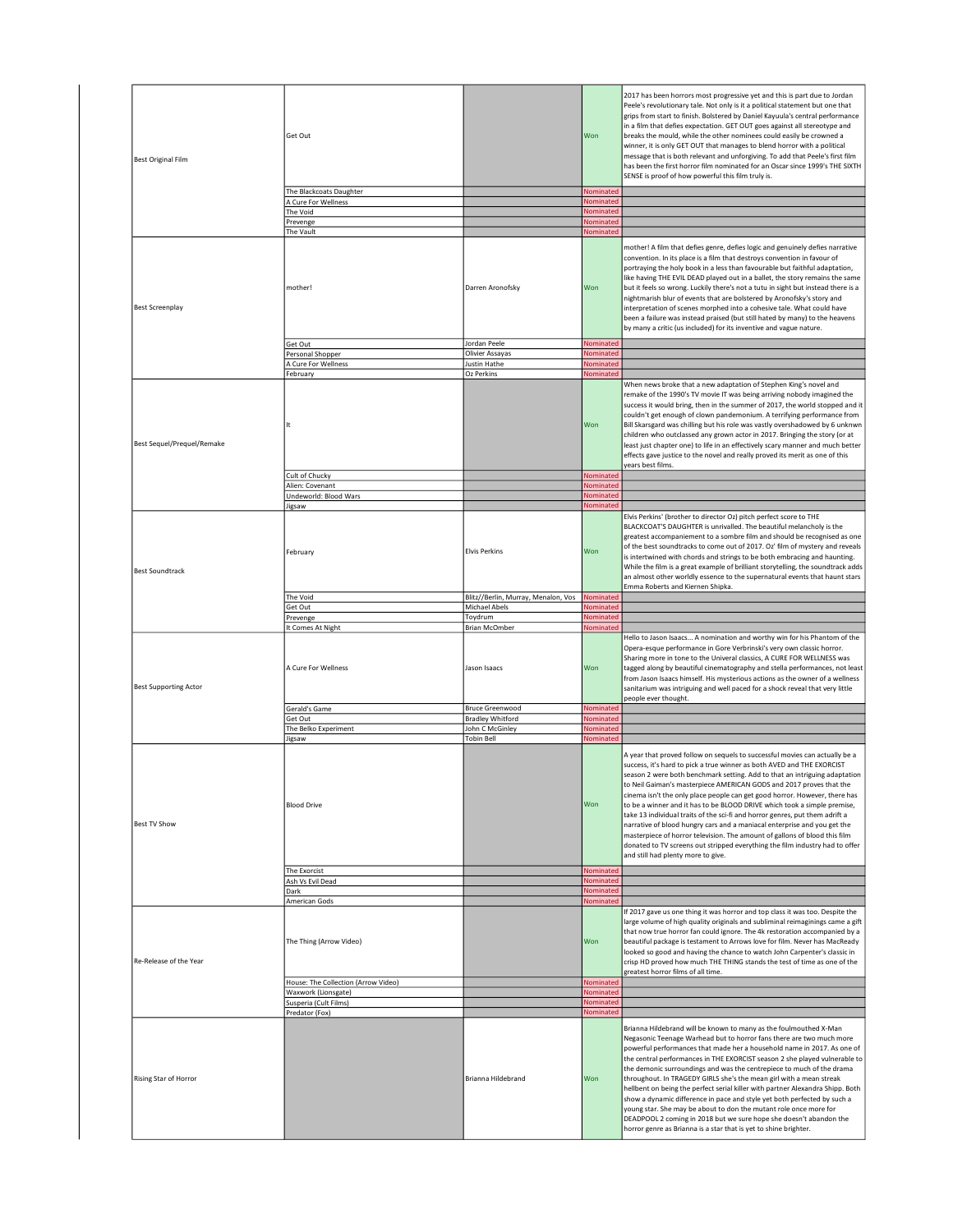| <b>Best Original Film</b>    | Get Out<br>The Blackcoats Daughter                             |                                        | Won<br>Nominated              | 2017 has been horrors most progressive yet and this is part due to Jordan<br>Peele's revolutionary tale. Not only is it a political statement but one that<br>grips from start to finish. Bolstered by Daniel Kayuula's central performance<br>in a film that defies expectation. GET OUT goes against all stereotype and<br>breaks the mould, while the other nominees could easily be crowned a<br>winner, it is only GET OUT that manages to blend horror with a political<br>message that is both relevant and unforgiving. To add that Peele's first film<br>has been the first horror film nominated for an Oscar since 1999's THE SIXTH<br>SENSE is proof of how powerful this film truly is.                                                                                                                                 |
|------------------------------|----------------------------------------------------------------|----------------------------------------|-------------------------------|--------------------------------------------------------------------------------------------------------------------------------------------------------------------------------------------------------------------------------------------------------------------------------------------------------------------------------------------------------------------------------------------------------------------------------------------------------------------------------------------------------------------------------------------------------------------------------------------------------------------------------------------------------------------------------------------------------------------------------------------------------------------------------------------------------------------------------------|
|                              | A Cure For Wellness                                            |                                        | Nominated                     |                                                                                                                                                                                                                                                                                                                                                                                                                                                                                                                                                                                                                                                                                                                                                                                                                                      |
|                              | The Void                                                       |                                        | Nominated                     |                                                                                                                                                                                                                                                                                                                                                                                                                                                                                                                                                                                                                                                                                                                                                                                                                                      |
|                              | Prevenge                                                       |                                        | Nominated                     |                                                                                                                                                                                                                                                                                                                                                                                                                                                                                                                                                                                                                                                                                                                                                                                                                                      |
|                              | The Vault                                                      |                                        | Nominated                     |                                                                                                                                                                                                                                                                                                                                                                                                                                                                                                                                                                                                                                                                                                                                                                                                                                      |
| <b>Best Screenplay</b>       | mother!                                                        | Darren Aronofsky                       | Won                           | mother! A film that defies genre, defies logic and genuinely defies narrative<br>convention. In its place is a film that destroys convention in favour of<br>portraying the holy book in a less than favourable but faithful adaptation,<br>like having THE EVIL DEAD played out in a ballet, the story remains the same<br>but it feels so wrong. Luckily there's not a tutu in sight but instead there is a<br>nightmarish blur of events that are bolstered by Aronofsky's story and<br>interpretation of scenes morphed into a cohesive tale. What could have<br>been a failure was instead praised (but still hated by many) to the heavens<br>by many a critic (us included) for its inventive and vague nature.                                                                                                               |
|                              | Get Out                                                        | Jordan Peele<br>Olivier Assayas        | Nominated<br>Nominated        |                                                                                                                                                                                                                                                                                                                                                                                                                                                                                                                                                                                                                                                                                                                                                                                                                                      |
|                              | Personal Shopper<br>A Cure For Wellness                        | Justin Hathe                           | Nominated                     |                                                                                                                                                                                                                                                                                                                                                                                                                                                                                                                                                                                                                                                                                                                                                                                                                                      |
|                              | February                                                       | Oz Perkins                             | Nominated                     |                                                                                                                                                                                                                                                                                                                                                                                                                                                                                                                                                                                                                                                                                                                                                                                                                                      |
| Best Sequel/Prequel/Remake   | It<br>Cult of Chucky                                           |                                        | Won<br>Nominated              | When news broke that a new adaptation of Stephen King's novel and<br>remake of the 1990's TV movie IT was being arriving nobody imagined the<br>success it would bring, then in the summer of 2017, the world stopped and it<br>couldn't get enough of clown pandemonium. A terrifying performance from<br>Bill Skarsgard was chilling but his role was vastly overshadowed by 6 unknwn<br>children who outclassed any grown actor in 2017. Bringing the story (or at<br>least just chapter one) to life in an effectively scary manner and much better<br>effects gave justice to the novel and really proved its merit as one of this<br>years best films.                                                                                                                                                                         |
|                              | Alien: Covenant                                                |                                        | Nominated                     |                                                                                                                                                                                                                                                                                                                                                                                                                                                                                                                                                                                                                                                                                                                                                                                                                                      |
|                              | Undeworld: Blood Wars                                          |                                        | Nominated                     |                                                                                                                                                                                                                                                                                                                                                                                                                                                                                                                                                                                                                                                                                                                                                                                                                                      |
|                              | ligsaw                                                         |                                        | Nominated                     |                                                                                                                                                                                                                                                                                                                                                                                                                                                                                                                                                                                                                                                                                                                                                                                                                                      |
| <b>Best Soundtrack</b>       | February                                                       | <b>Elvis Perkins</b>                   | Won                           | Elvis Perkins' (brother to director Oz) pitch perfect score to THE<br>BLACKCOAT'S DAUGHTER is unrivalled. The beautiful melancholy is the<br>greatest accompaniement to a sombre film and should be recognised as one<br>of the best soundtracks to come out of 2017. Oz' film of mystery and reveals<br>is intertwined with chords and strings to be both embracing and haunting.<br>While the film is a great example of brilliant storytelling, the soundtrack adds<br>an almost other worldly essence to the supernatural events that haunt stars<br>Emma Roberts and Kiernen Shipka.                                                                                                                                                                                                                                            |
|                              | The Void                                                       | Blitz//Berlin, Murray, Menalon, Vos    | Nominated                     |                                                                                                                                                                                                                                                                                                                                                                                                                                                                                                                                                                                                                                                                                                                                                                                                                                      |
|                              | Get Out                                                        | Michael Abels                          | <b>Nominated</b>              |                                                                                                                                                                                                                                                                                                                                                                                                                                                                                                                                                                                                                                                                                                                                                                                                                                      |
|                              | Prevenge                                                       | Toydrum<br><b>Brian McOmber</b>        | Nominated                     |                                                                                                                                                                                                                                                                                                                                                                                                                                                                                                                                                                                                                                                                                                                                                                                                                                      |
| <b>Best Supporting Actor</b> | It Comes At Night<br>A Cure For Wellness<br>Gerald's Game      | Jason Isaacs<br><b>Bruce Greenwood</b> | Nominated<br>Won<br>Nominated | Hello to Jason Isaacs A nomination and worthy win for his Phantom of the<br>Opera-esque performance in Gore Verbrinski's very own classic horror.<br>Sharing more in tone to the Univeral classics, A CURE FOR WELLNESS was<br>tagged along by beautiful cinematography and stella performances, not least<br>from Jason Isaacs himself. His mysterious actions as the owner of a wellness<br>sanitarium was intriguing and well paced for a shock reveal that very little<br>people ever thought.                                                                                                                                                                                                                                                                                                                                   |
|                              | Get Out                                                        | <b>Bradley Whitford</b>                | Nominated                     |                                                                                                                                                                                                                                                                                                                                                                                                                                                                                                                                                                                                                                                                                                                                                                                                                                      |
|                              | The Belko Experiment                                           | John C McGinley                        | Nominated                     |                                                                                                                                                                                                                                                                                                                                                                                                                                                                                                                                                                                                                                                                                                                                                                                                                                      |
|                              | Jigsaw                                                         | <b>Tobin Bell</b>                      | Nominated                     |                                                                                                                                                                                                                                                                                                                                                                                                                                                                                                                                                                                                                                                                                                                                                                                                                                      |
| <b>Best TV Show</b>          | <b>Blood Drive</b><br>The Exorcist                             |                                        | Won<br>Nominated              | A year that proved follow on sequels to successful movies can actually be a<br>success, it's hard to pick a true winner as both AVED and THE EXORCIST<br>season 2 were both benchmark setting. Add to that an intriguing adaptation<br>to Neil Gaiman's masterpiece AMERICAN GODS and 2017 proves that the<br>cinema isn't the only place people can get good horror. However, there has<br>to be a winner and it has to be BLOOD DRIVE which took a simple premise,<br>take 13 individual traits of the sci-fi and horror genres, put them adrift a<br>narrative of blood hungry cars and a maniacal enterprise and you get the<br>masterpiece of horror television. The amount of gallons of blood this film<br>donated to TV screens out stripped everything the film industry had to offer<br>and still had plenty more to give. |
|                              | Ash Vs Evil Dead                                               |                                        | Nominated                     |                                                                                                                                                                                                                                                                                                                                                                                                                                                                                                                                                                                                                                                                                                                                                                                                                                      |
|                              | Dark                                                           |                                        | Nominated                     |                                                                                                                                                                                                                                                                                                                                                                                                                                                                                                                                                                                                                                                                                                                                                                                                                                      |
|                              | American Gods                                                  |                                        | Nominated                     |                                                                                                                                                                                                                                                                                                                                                                                                                                                                                                                                                                                                                                                                                                                                                                                                                                      |
| Re-Release of the Year       | The Thing (Arrow Video)<br>House: The Collection (Arrow Video) |                                        | Won<br>Nominated              | If 2017 gave us one thing it was horror and top class it was too. Despite the<br>large volume of high quality originals and subliminal reimaginings came a gift<br>that now true horror fan could ignore. The 4k restoration accompanied by a<br>beautiful package is testament to Arrows love for film. Never has MacReady<br>looked so good and having the chance to watch John Carpenter's classic in<br>crisp HD proved how much THE THING stands the test of time as one of the<br>greatest horror films of all time.                                                                                                                                                                                                                                                                                                           |
|                              | Waxwork (Lionsgate)                                            |                                        | Nominated                     |                                                                                                                                                                                                                                                                                                                                                                                                                                                                                                                                                                                                                                                                                                                                                                                                                                      |
|                              | Susperia (Cult Films)                                          |                                        | Nominated                     |                                                                                                                                                                                                                                                                                                                                                                                                                                                                                                                                                                                                                                                                                                                                                                                                                                      |
| Rising Star of Horror        | Predator (Fox)                                                 | Brianna Hildebrand                     | Nominated<br>Won              | Brianna Hildebrand will be known to many as the foulmouthed X-Man<br>Negasonic Teenage Warhead but to horror fans there are two much more<br>powerful performances that made her a household name in 2017. As one of<br>the central performances in THE EXORCIST season 2 she played vulnerable to<br>the demonic surroundings and was the centrepiece to much of the drama<br>throughout. In TRAGEDY GIRLS she's the mean girl with a mean streak<br>hellbent on being the perfect serial killer with partner Alexandra Shipp. Both<br>show a dynamic difference in pace and style yet both perfected by such a<br>young star. She may be about to don the mutant role once more for<br>DEADPOOL 2 coming in 2018 but we sure hope she doesn't abandon the<br>horror genre as Brianna is a star that is yet to shine brighter.      |